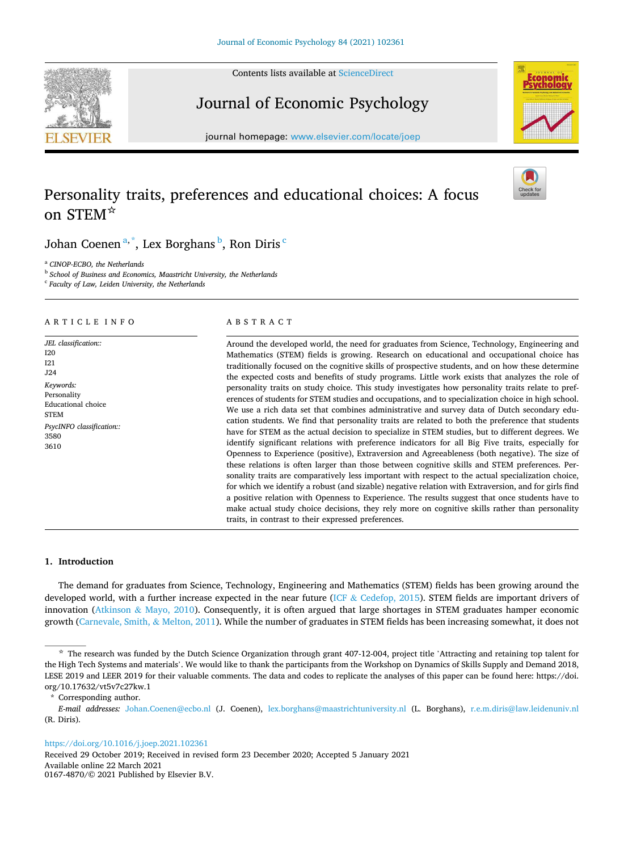Contents lists available at [ScienceDirect](www.sciencedirect.com/science/journal/01674870)



# Journal of Economic Psychology

journal homepage: [www.elsevier.com/locate/joep](https://www.elsevier.com/locate/joep) 

# Personality traits, preferences and educational choices: A focus on STEM☆





Johan Coenen<sup>a,\*</sup>, Lex Borghans <sup>b</sup>, Ron Diris <sup>c</sup>

<sup>a</sup> *CINOP-ECBO, the Netherlands* 

b *School of Business and Economics, Maastricht University, the Netherlands* 

c *Faculty of Law, Leiden University, the Netherlands* 

## A R T I C L E I N F O

*JEL classification::*  I20 I21 J24 *Keywords:*  Personality Educational choice **STEM** *PsycINFO classification::*  3580 3610

# ABSTRACT

Around the developed world, the need for graduates from Science, Technology, Engineering and Mathematics (STEM) fields is growing. Research on educational and occupational choice has traditionally focused on the cognitive skills of prospective students, and on how these determine the expected costs and benefits of study programs. Little work exists that analyzes the role of personality traits on study choice. This study investigates how personality traits relate to preferences of students for STEM studies and occupations, and to specialization choice in high school. We use a rich data set that combines administrative and survey data of Dutch secondary education students. We find that personality traits are related to both the preference that students have for STEM as the actual decision to specialize in STEM studies, but to different degrees. We identify significant relations with preference indicators for all Big Five traits, especially for Openness to Experience (positive), Extraversion and Agreeableness (both negative). The size of these relations is often larger than those between cognitive skills and STEM preferences. Personality traits are comparatively less important with respect to the actual specialization choice, for which we identify a robust (and sizable) negative relation with Extraversion, and for girls find a positive relation with Openness to Experience. The results suggest that once students have to make actual study choice decisions, they rely more on cognitive skills rather than personality traits, in contrast to their expressed preferences.

# **1. Introduction**

The demand for graduates from Science, Technology, Engineering and Mathematics (STEM) fields has been growing around the developed world, with a further increase expected in the near future (ICF & [Cedefop, 2015](#page-15-0)). STEM fields are important drivers of innovation (Atkinson & [Mayo, 2010\)](#page-14-0). Consequently, it is often argued that large shortages in STEM graduates hamper economic growth [\(Carnevale, Smith,](#page-14-0) & Melton, 2011). While the number of graduates in STEM fields has been increasing somewhat, it does not

## <https://doi.org/10.1016/j.joep.2021.102361>

Available online 22 March 2021 Received 29 October 2019; Received in revised form 23 December 2020; Accepted 5 January 2021

0167-4870/© 2021 Published by Elsevier B.V.

<sup>☆</sup> The research was funded by the Dutch Science Organization through grant 407-12-004, project title 'Attracting and retaining top talent for the High Tech Systems and materials'. We would like to thank the participants from the Workshop on Dynamics of Skills Supply and Demand 2018, LESE 2019 and LEER 2019 for their valuable comments. The data and codes to replicate the analyses of this paper can be found here: https://doi. org/10.17632/vt5v7c27kw.1

Corresponding author.

*E-mail addresses:* [Johan.Coenen@ecbo.nl](mailto:Johan.Coenen@ecbo.nl) (J. Coenen), [lex.borghans@maastrichtuniversity.nl](mailto:lex.borghans@maastrichtuniversity.nl) (L. Borghans), [r.e.m.diris@law.leidenuniv.nl](mailto:r.e.m.diris@law.leidenuniv.nl) (R. Diris).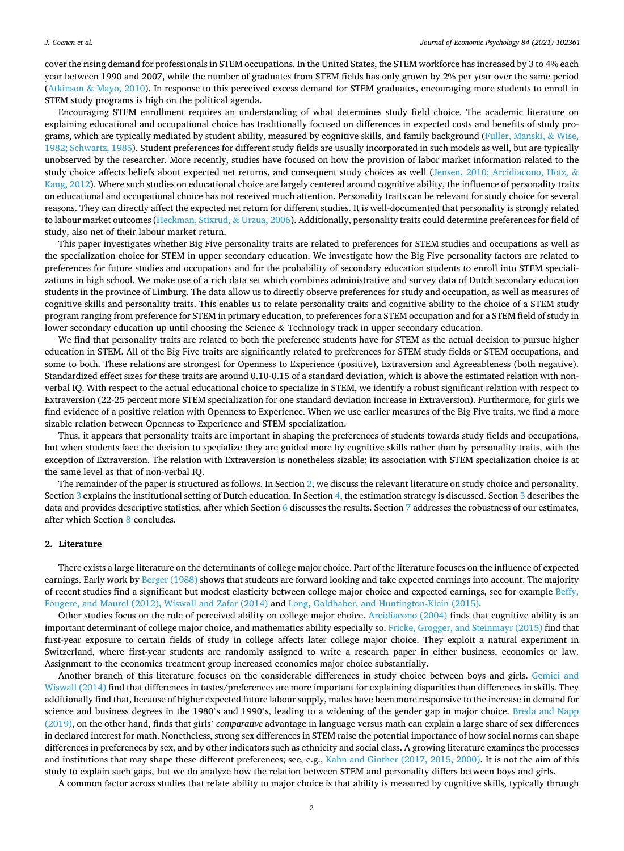cover the rising demand for professionals in STEM occupations. In the United States, the STEM workforce has increased by 3 to 4% each year between 1990 and 2007, while the number of graduates from STEM fields has only grown by 2% per year over the same period (Atkinson & [Mayo, 2010\)](#page-14-0). In response to this perceived excess demand for STEM graduates, encouraging more students to enroll in STEM study programs is high on the political agenda.

Encouraging STEM enrollment requires an understanding of what determines study field choice. The academic literature on explaining educational and occupational choice has traditionally focused on differences in expected costs and benefits of study programs, which are typically mediated by student ability, measured by cognitive skills, and family background [\(Fuller, Manski,](#page-14-0) & Wise, [1982; Schwartz, 1985](#page-14-0)). Student preferences for different study fields are usually incorporated in such models as well, but are typically unobserved by the researcher. More recently, studies have focused on how the provision of labor market information related to the study choice affects beliefs about expected net returns, and consequent study choices as well ([Jensen, 2010; Arcidiacono, Hotz,](#page-15-0) & [Kang, 2012\)](#page-15-0). Where such studies on educational choice are largely centered around cognitive ability, the influence of personality traits on educational and occupational choice has not received much attention. Personality traits can be relevant for study choice for several reasons. They can directly affect the expected net return for different studies. It is well-documented that personality is strongly related to labour market outcomes ([Heckman, Stixrud,](#page-15-0) & Urzua, 2006). Additionally, personality traits could determine preferences for field of study, also net of their labour market return.

This paper investigates whether Big Five personality traits are related to preferences for STEM studies and occupations as well as the specialization choice for STEM in upper secondary education. We investigate how the Big Five personality factors are related to preferences for future studies and occupations and for the probability of secondary education students to enroll into STEM specializations in high school. We make use of a rich data set which combines administrative and survey data of Dutch secondary education students in the province of Limburg. The data allow us to directly observe preferences for study and occupation, as well as measures of cognitive skills and personality traits. This enables us to relate personality traits and cognitive ability to the choice of a STEM study program ranging from preference for STEM in primary education, to preferences for a STEM occupation and for a STEM field of study in lower secondary education up until choosing the Science & Technology track in upper secondary education.

We find that personality traits are related to both the preference students have for STEM as the actual decision to pursue higher education in STEM. All of the Big Five traits are significantly related to preferences for STEM study fields or STEM occupations, and some to both. These relations are strongest for Openness to Experience (positive), Extraversion and Agreeableness (both negative). Standardized effect sizes for these traits are around 0.10-0.15 of a standard deviation, which is above the estimated relation with nonverbal IQ. With respect to the actual educational choice to specialize in STEM, we identify a robust significant relation with respect to Extraversion (22-25 percent more STEM specialization for one standard deviation increase in Extraversion). Furthermore, for girls we find evidence of a positive relation with Openness to Experience. When we use earlier measures of the Big Five traits, we find a more sizable relation between Openness to Experience and STEM specialization.

Thus, it appears that personality traits are important in shaping the preferences of students towards study fields and occupations, but when students face the decision to specialize they are guided more by cognitive skills rather than by personality traits, with the exception of Extraversion. The relation with Extraversion is nonetheless sizable; its association with STEM specialization choice is at the same level as that of non-verbal IQ.

The remainder of the paper is structured as follows. In Section 2, we discuss the relevant literature on study choice and personality. Section [3](#page-2-0) explains the institutional setting of Dutch education. In Section [4,](#page-3-0) the estimation strategy is discussed. Section [5](#page-3-0) describes the data and provides descriptive statistics, after which Section [6](#page-4-0) discusses the results. Section [7](#page-11-0) addresses the robustness of our estimates, after which Section [8](#page-13-0) concludes.

## **2. Literature**

There exists a large literature on the determinants of college major choice. Part of the literature focuses on the influence of expected earnings. Early work by [Berger \(1988\)](#page-14-0) shows that students are forward looking and take expected earnings into account. The majority of recent studies find a significant but modest elasticity between college major choice and expected earnings, see for example [Beffy,](#page-14-0) [Fougere, and Maurel \(2012\), Wiswall and Zafar \(2014\)](#page-14-0) and [Long, Goldhaber, and Huntington-Klein \(2015\)](#page-15-0).

Other studies focus on the role of perceived ability on college major choice. [Arcidiacono \(2004\)](#page-14-0) finds that cognitive ability is an important determinant of college major choice, and mathematics ability especially so. [Fricke, Grogger, and Steinmayr \(2015\)](#page-14-0) find that first-year exposure to certain fields of study in college affects later college major choice. They exploit a natural experiment in Switzerland, where first-year students are randomly assigned to write a research paper in either business, economics or law. Assignment to the economics treatment group increased economics major choice substantially.

Another branch of this literature focuses on the considerable differences in study choice between boys and girls. [Gemici and](#page-15-0) [Wiswall \(2014\)](#page-15-0) find that differences in tastes/preferences are more important for explaining disparities than differences in skills. They additionally find that, because of higher expected future labour supply, males have been more responsive to the increase in demand for science and business degrees in the 1980's and 1990's, leading to a widening of the gender gap in major choice. [Breda and Napp](#page-14-0) [\(2019\),](#page-14-0) on the other hand, finds that girls' *comparative* advantage in language versus math can explain a large share of sex differences in declared interest for math. Nonetheless, strong sex differences in STEM raise the potential importance of how social norms can shape differences in preferences by sex, and by other indicators such as ethnicity and social class. A growing literature examines the processes and institutions that may shape these different preferences; see, e.g., [Kahn and Ginther \(2017, 2015, 2000\)](#page-15-0). It is not the aim of this study to explain such gaps, but we do analyze how the relation between STEM and personality differs between boys and girls.

A common factor across studies that relate ability to major choice is that ability is measured by cognitive skills, typically through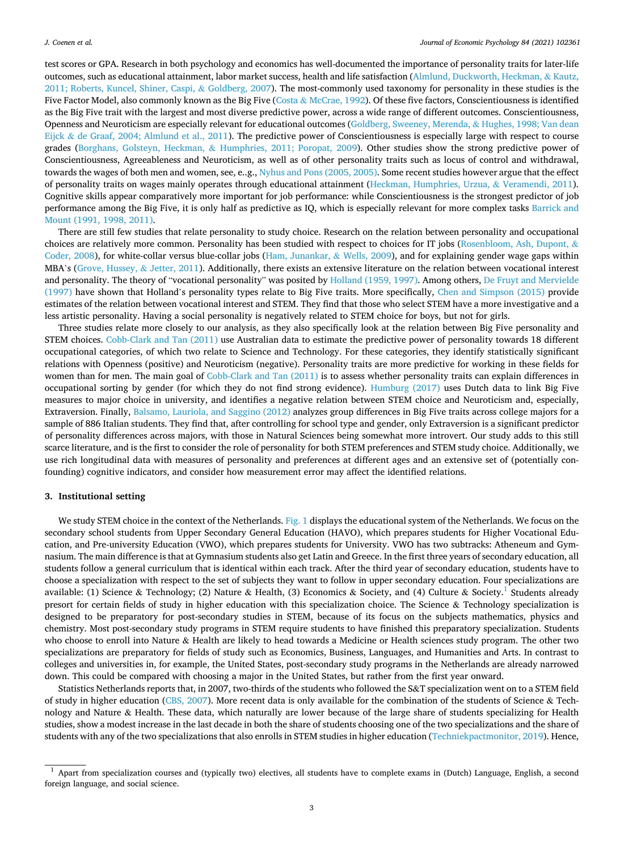<span id="page-2-0"></span>test scores or GPA. Research in both psychology and economics has well-documented the importance of personality traits for later-life outcomes, such as educational attainment, labor market success, health and life satisfaction ([Almlund, Duckworth, Heckman,](#page-14-0) & Kautz, [2011; Roberts, Kuncel, Shiner, Caspi,](#page-14-0) & Goldberg, 2007). The most-commonly used taxonomy for personality in these studies is the Five Factor Model, also commonly known as the Big Five (Costa & [McCrae, 1992\)](#page-14-0). Of these five factors, Conscientiousness is identified as the Big Five trait with the largest and most diverse predictive power, across a wide range of different outcomes. Conscientiousness, Openness and Neuroticism are especially relevant for educational outcomes [\(Goldberg, Sweeney, Merenda,](#page-15-0) & Hughes, 1998; Van dean Eijck & [de Graaf, 2004; Almlund et al., 2011](#page-15-0)). The predictive power of Conscientiousness is especially large with respect to course grades (Borghans, Golsteyn, Heckman, & [Humphries, 2011; Poropat, 2009\)](#page-14-0). Other studies show the strong predictive power of Conscientiousness, Agreeableness and Neuroticism, as well as of other personality traits such as locus of control and withdrawal, towards the wages of both men and women, see, e..g., [Nyhus and Pons \(2005, 2005\)](#page-15-0). Some recent studies however argue that the effect of personality traits on wages mainly operates through educational attainment [\(Heckman, Humphries, Urzua,](#page-15-0) & Veramendi, 2011). Cognitive skills appear comparatively more important for job performance: while Conscientiousness is the strongest predictor of job performance among the Big Five, it is only half as predictive as IQ, which is especially relevant for more complex tasks [Barrick and](#page-14-0) [Mount \(1991, 1998, 2011\).](#page-14-0)

There are still few studies that relate personality to study choice. Research on the relation between personality and occupational choices are relatively more common. Personality has been studied with respect to choices for IT jobs [\(Rosenbloom, Ash, Dupont,](#page-15-0) & [Coder, 2008](#page-15-0)), for white-collar versus blue-collar jobs ([Ham, Junankar,](#page-15-0) & Wells, 2009), and for explaining gender wage gaps within MBA's [\(Grove, Hussey,](#page-15-0) & Jetter, 2011). Additionally, there exists an extensive literature on the relation between vocational interest and personality. The theory of "vocational personality" was posited by [Holland \(1959, 1997\).](#page-15-0) Among others, [De Fruyt and Mervielde](#page-14-0) [\(1997\)](#page-14-0) have shown that Holland's personality types relate to Big Five traits. More specifically, [Chen and Simpson \(2015\)](#page-14-0) provide estimates of the relation between vocational interest and STEM. They find that those who select STEM have a more investigative and a less artistic personality. Having a social personality is negatively related to STEM choice for boys, but not for girls.

Three studies relate more closely to our analysis, as they also specifically look at the relation between Big Five personality and STEM choices. [Cobb-Clark and Tan \(2011\)](#page-14-0) use Australian data to estimate the predictive power of personality towards 18 different occupational categories, of which two relate to Science and Technology. For these categories, they identify statistically significant relations with Openness (positive) and Neuroticism (negative). Personality traits are more predictive for working in these fields for women than for men. The main goal of [Cobb-Clark and Tan \(2011\)](#page-14-0) is to assess whether personality traits can explain differences in occupational sorting by gender (for which they do not find strong evidence). [Humburg \(2017\)](#page-15-0) uses Dutch data to link Big Five measures to major choice in university, and identifies a negative relation between STEM choice and Neuroticism and, especially, Extraversion. Finally, [Balsamo, Lauriola, and Saggino \(2012\)](#page-14-0) analyzes group differences in Big Five traits across college majors for a sample of 886 Italian students. They find that, after controlling for school type and gender, only Extraversion is a significant predictor of personality differences across majors, with those in Natural Sciences being somewhat more introvert. Our study adds to this still scarce literature, and is the first to consider the role of personality for both STEM preferences and STEM study choice. Additionally, we use rich longitudinal data with measures of personality and preferences at different ages and an extensive set of (potentially confounding) cognitive indicators, and consider how measurement error may affect the identified relations.

# **3. Institutional setting**

We study STEM choice in the context of the Netherlands. [Fig. 1](#page-3-0) displays the educational system of the Netherlands. We focus on the secondary school students from Upper Secondary General Education (HAVO), which prepares students for Higher Vocational Education, and Pre-university Education (VWO), which prepares students for University. VWO has two subtracks: Atheneum and Gymnasium. The main difference is that at Gymnasium students also get Latin and Greece. In the first three years of secondary education, all students follow a general curriculum that is identical within each track. After the third year of secondary education, students have to choose a specialization with respect to the set of subjects they want to follow in upper secondary education. Four specializations are available: (1) Science & Technology; (2) Nature & Health, (3) Economics & Society, and (4) Culture & Society.<sup>1</sup> Students already presort for certain fields of study in higher education with this specialization choice. The Science & Technology specialization is designed to be preparatory for post-secondary studies in STEM, because of its focus on the subjects mathematics, physics and chemistry. Most post-secondary study programs in STEM require students to have finished this preparatory specialization. Students who choose to enroll into Nature & Health are likely to head towards a Medicine or Health sciences study program. The other two specializations are preparatory for fields of study such as Economics, Business, Languages, and Humanities and Arts. In contrast to colleges and universities in, for example, the United States, post-secondary study programs in the Netherlands are already narrowed down. This could be compared with choosing a major in the United States, but rather from the first year onward.

Statistics Netherlands reports that, in 2007, two-thirds of the students who followed the S&T specialization went on to a STEM field of study in higher education ([CBS, 2007](#page-14-0)). More recent data is only available for the combination of the students of Science  $\&$  Technology and Nature & Health. These data, which naturally are lower because of the large share of students specializing for Health studies, show a modest increase in the last decade in both the share of students choosing one of the two specializations and the share of students with any of the two specializations that also enrolls in STEM studies in higher education [\(Techniekpactmonitor, 2019](#page-15-0)). Hence,

 $1$  Apart from specialization courses and (typically two) electives, all students have to complete exams in (Dutch) Language, English, a second foreign language, and social science.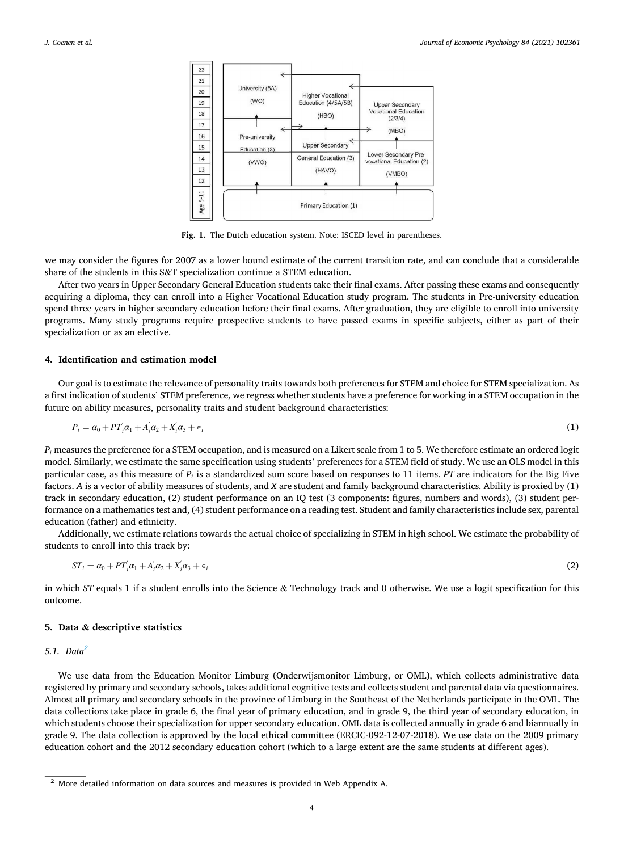<span id="page-3-0"></span>

**Fig. 1.** The Dutch education system. Note: ISCED level in parentheses.

we may consider the figures for 2007 as a lower bound estimate of the current transition rate, and can conclude that a considerable share of the students in this S&T specialization continue a STEM education.

After two years in Upper Secondary General Education students take their final exams. After passing these exams and consequently acquiring a diploma, they can enroll into a Higher Vocational Education study program. The students in Pre-university education spend three years in higher secondary education before their final exams. After graduation, they are eligible to enroll into university programs. Many study programs require prospective students to have passed exams in specific subjects, either as part of their specialization or as an elective.

## **4. Identification and estimation model**

Our goal is to estimate the relevance of personality traits towards both preferences for STEM and choice for STEM specialization. As a first indication of students' STEM preference, we regress whether students have a preference for working in a STEM occupation in the future on ability measures, personality traits and student background characteristics:

$$
P_i = \alpha_0 + PT_i' \alpha_1 + A_i' \alpha_2 + X_i' \alpha_3 + \epsilon_i \tag{1}
$$

*Pi* measures the preference for a STEM occupation, and is measured on a Likert scale from 1 to 5. We therefore estimate an ordered logit model. Similarly, we estimate the same specification using students' preferences for a STEM field of study. We use an OLS model in this particular case, as this measure of *Pi* is a standardized sum score based on responses to 11 items. *PT* are indicators for the Big Five factors. *A* is a vector of ability measures of students, and *X* are student and family background characteristics. Ability is proxied by (1) track in secondary education, (2) student performance on an IQ test (3 components: figures, numbers and words), (3) student performance on a mathematics test and, (4) student performance on a reading test. Student and family characteristics include sex, parental education (father) and ethnicity.

Additionally, we estimate relations towards the actual choice of specializing in STEM in high school. We estimate the probability of students to enroll into this track by:

$$
ST_i = \alpha_0 + PT_i' \alpha_1 + A_i' \alpha_2 + X_i' \alpha_3 + \epsilon_i
$$
\n(2)

in which *ST* equals 1 if a student enrolls into the Science & Technology track and 0 otherwise. We use a logit specification for this outcome.

# **5. Data & descriptive statistics**

## *5.1. Data<sup>2</sup>*

We use data from the Education Monitor Limburg (Onderwijsmonitor Limburg, or OML), which collects administrative data registered by primary and secondary schools, takes additional cognitive tests and collects student and parental data via questionnaires. Almost all primary and secondary schools in the province of Limburg in the Southeast of the Netherlands participate in the OML. The data collections take place in grade 6, the final year of primary education, and in grade 9, the third year of secondary education, in which students choose their specialization for upper secondary education. OML data is collected annually in grade 6 and biannually in grade 9. The data collection is approved by the local ethical committee (ERCIC-092-12-07-2018). We use data on the 2009 primary education cohort and the 2012 secondary education cohort (which to a large extent are the same students at different ages).

<sup>&</sup>lt;sup>2</sup> More detailed information on data sources and measures is provided in Web Appendix A.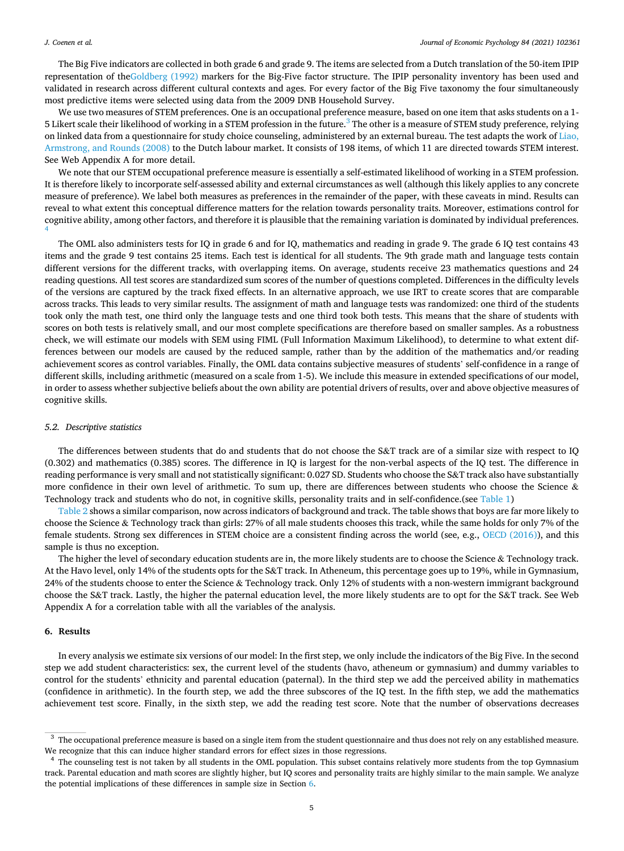<span id="page-4-0"></span>The Big Five indicators are collected in both grade 6 and grade 9. The items are selected from a Dutch translation of the 50-item IPIP representation of the[Goldberg \(1992\)](#page-15-0) markers for the Big-Five factor structure. The IPIP personality inventory has been used and validated in research across different cultural contexts and ages. For every factor of the Big Five taxonomy the four simultaneously most predictive items were selected using data from the 2009 DNB Household Survey.

We use two measures of STEM preferences. One is an occupational preference measure, based on one item that asks students on a 1- 5 Likert scale their likelihood of working in a STEM profession in the future.<sup>3</sup> The other is a measure of STEM study preference, relying on linked data from a questionnaire for study choice counseling, administered by an external bureau. The test adapts the work of [Liao,](#page-15-0) [Armstrong, and Rounds \(2008\)](#page-15-0) to the Dutch labour market. It consists of 198 items, of which 11 are directed towards STEM interest. See Web Appendix A for more detail.

We note that our STEM occupational preference measure is essentially a self-estimated likelihood of working in a STEM profession. It is therefore likely to incorporate self-assessed ability and external circumstances as well (although this likely applies to any concrete measure of preference). We label both measures as preferences in the remainder of the paper, with these caveats in mind. Results can reveal to what extent this conceptual difference matters for the relation towards personality traits. Moreover, estimations control for cognitive ability, among other factors, and therefore it is plausible that the remaining variation is dominated by individual preferences. 4

The OML also administers tests for IQ in grade 6 and for IQ, mathematics and reading in grade 9. The grade 6 IQ test contains 43 items and the grade 9 test contains 25 items. Each test is identical for all students. The 9th grade math and language tests contain different versions for the different tracks, with overlapping items. On average, students receive 23 mathematics questions and 24 reading questions. All test scores are standardized sum scores of the number of questions completed. Differences in the difficulty levels of the versions are captured by the track fixed effects. In an alternative approach, we use IRT to create scores that are comparable across tracks. This leads to very similar results. The assignment of math and language tests was randomized: one third of the students took only the math test, one third only the language tests and one third took both tests. This means that the share of students with scores on both tests is relatively small, and our most complete specifications are therefore based on smaller samples. As a robustness check, we will estimate our models with SEM using FIML (Full Information Maximum Likelihood), to determine to what extent differences between our models are caused by the reduced sample, rather than by the addition of the mathematics and/or reading achievement scores as control variables. Finally, the OML data contains subjective measures of students' self-confidence in a range of different skills, including arithmetic (measured on a scale from 1-5). We include this measure in extended specifications of our model, in order to assess whether subjective beliefs about the own ability are potential drivers of results, over and above objective measures of cognitive skills.

#### *5.2. Descriptive statistics*

The differences between students that do and students that do not choose the S&T track are of a similar size with respect to IQ (0.302) and mathematics (0.385) scores. The difference in IQ is largest for the non-verbal aspects of the IQ test. The difference in reading performance is very small and not statistically significant: 0.027 SD. Students who choose the S&T track also have substantially more confidence in their own level of arithmetic. To sum up, there are differences between students who choose the Science & Technology track and students who do not, in cognitive skills, personality traits and in self-confidence.(see [Table 1\)](#page-5-0)

[Table 2](#page-5-0) shows a similar comparison, now across indicators of background and track. The table shows that boys are far more likely to choose the Science & Technology track than girls: 27% of all male students chooses this track, while the same holds for only 7% of the female students. Strong sex differences in STEM choice are a consistent finding across the world (see, e.g., [OECD \(2016\)\)](#page-15-0), and this sample is thus no exception.

The higher the level of secondary education students are in, the more likely students are to choose the Science & Technology track. At the Havo level, only 14% of the students opts for the S&T track. In Atheneum, this percentage goes up to 19%, while in Gymnasium, 24% of the students choose to enter the Science & Technology track. Only 12% of students with a non-western immigrant background choose the S&T track. Lastly, the higher the paternal education level, the more likely students are to opt for the S&T track. See Web Appendix A for a correlation table with all the variables of the analysis.

## **6. Results**

In every analysis we estimate six versions of our model: In the first step, we only include the indicators of the Big Five. In the second step we add student characteristics: sex, the current level of the students (havo, atheneum or gymnasium) and dummy variables to control for the students' ethnicity and parental education (paternal). In the third step we add the perceived ability in mathematics (confidence in arithmetic). In the fourth step, we add the three subscores of the IQ test. In the fifth step, we add the mathematics achievement test score. Finally, in the sixth step, we add the reading test score. Note that the number of observations decreases

<sup>&</sup>lt;sup>3</sup> The occupational preference measure is based on a single item from the student questionnaire and thus does not rely on any established measure. We recognize that this can induce higher standard errors for effect sizes in those regressions.

The counseling test is not taken by all students in the OML population. This subset contains relatively more students from the top Gymnasium track. Parental education and math scores are slightly higher, but IQ scores and personality traits are highly similar to the main sample. We analyze the potential implications of these differences in sample size in Section 6.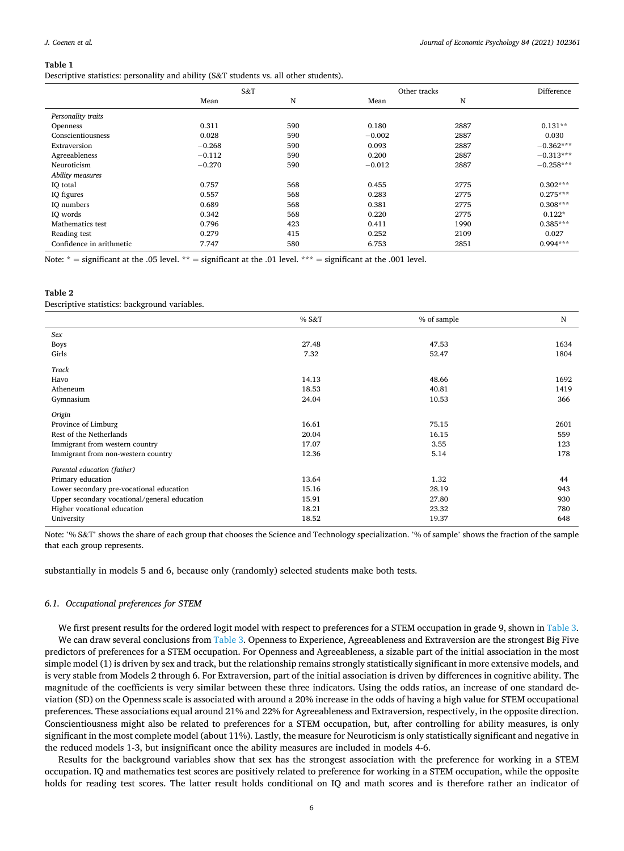<span id="page-5-0"></span>Descriptive statistics: personality and ability (S&T students vs. all other students).

|                          | S&T      |     |          | Other tracks |             |  |  |
|--------------------------|----------|-----|----------|--------------|-------------|--|--|
|                          | Mean     | N   | Mean     | N            |             |  |  |
| Personality traits       |          |     |          |              |             |  |  |
| <b>Openness</b>          | 0.311    | 590 | 0.180    | 2887         | $0.131**$   |  |  |
| Conscientiousness        | 0.028    | 590 | $-0.002$ | 2887         | 0.030       |  |  |
| Extraversion             | $-0.268$ | 590 | 0.093    | 2887         | $-0.362***$ |  |  |
| Agreeableness            | $-0.112$ | 590 | 0.200    | 2887         | $-0.313***$ |  |  |
| Neuroticism              | $-0.270$ | 590 | $-0.012$ | 2887         | $-0.258***$ |  |  |
| Ability measures         |          |     |          |              |             |  |  |
| IO total                 | 0.757    | 568 | 0.455    | 2775         | $0.302***$  |  |  |
| IQ figures               | 0.557    | 568 | 0.283    | 2775         | $0.275***$  |  |  |
| IQ numbers               | 0.689    | 568 | 0.381    | 2775         | $0.308***$  |  |  |
| IQ words                 | 0.342    | 568 | 0.220    | 2775         | $0.122*$    |  |  |
| Mathematics test         | 0.796    | 423 | 0.411    | 1990         | $0.385***$  |  |  |
| Reading test             | 0.279    | 415 | 0.252    | 2109         | 0.027       |  |  |
| Confidence in arithmetic | 7.747    | 580 | 6.753    | 2851         | $0.994***$  |  |  |

Note:  $* =$  significant at the .05 level.  $** =$  significant at the .01 level.  $*** =$  significant at the .001 level.

# **Table 2**

Descriptive statistics: background variables.

|                                              | % S&T | % of sample | N    |
|----------------------------------------------|-------|-------------|------|
| Sex                                          |       |             |      |
| <b>Boys</b>                                  | 27.48 | 47.53       | 1634 |
| Girls                                        | 7.32  | 52.47       | 1804 |
| Track                                        |       |             |      |
| Havo                                         | 14.13 | 48.66       | 1692 |
| Atheneum                                     | 18.53 | 40.81       | 1419 |
| Gymnasium                                    | 24.04 | 10.53       | 366  |
| Origin                                       |       |             |      |
| Province of Limburg                          | 16.61 | 75.15       | 2601 |
| Rest of the Netherlands                      | 20.04 | 16.15       | 559  |
| Immigrant from western country               | 17.07 | 3.55        | 123  |
| Immigrant from non-western country           | 12.36 | 5.14        | 178  |
| Parental education (father)                  |       |             |      |
| Primary education                            | 13.64 | 1.32        | 44   |
| Lower secondary pre-vocational education     | 15.16 | 28.19       | 943  |
| Upper secondary vocational/general education | 15.91 | 27.80       | 930  |
| Higher vocational education                  | 18.21 | 23.32       | 780  |
| University                                   | 18.52 | 19.37       | 648  |

Note: '% S&T' shows the share of each group that chooses the Science and Technology specialization. '% of sample' shows the fraction of the sample that each group represents.

substantially in models 5 and 6, because only (randomly) selected students make both tests.

# *6.1. Occupational preferences for STEM*

We first present results for the ordered logit model with respect to preferences for a STEM occupation in grade 9, shown in [Table 3](#page-6-0). We can draw several conclusions from [Table 3](#page-6-0). Openness to Experience, Agreeableness and Extraversion are the strongest Big Five predictors of preferences for a STEM occupation. For Openness and Agreeableness, a sizable part of the initial association in the most simple model (1) is driven by sex and track, but the relationship remains strongly statistically significant in more extensive models, and is very stable from Models 2 through 6. For Extraversion, part of the initial association is driven by differences in cognitive ability. The magnitude of the coefficients is very similar between these three indicators. Using the odds ratios, an increase of one standard deviation (SD) on the Openness scale is associated with around a 20% increase in the odds of having a high value for STEM occupational preferences. These associations equal around 21% and 22% for Agreeableness and Extraversion, respectively, in the opposite direction. Conscientiousness might also be related to preferences for a STEM occupation, but, after controlling for ability measures, is only significant in the most complete model (about 11%). Lastly, the measure for Neuroticism is only statistically significant and negative in the reduced models 1-3, but insignificant once the ability measures are included in models 4-6.

Results for the background variables show that sex has the strongest association with the preference for working in a STEM occupation. IQ and mathematics test scores are positively related to preference for working in a STEM occupation, while the opposite holds for reading test scores. The latter result holds conditional on IQ and math scores and is therefore rather an indicator of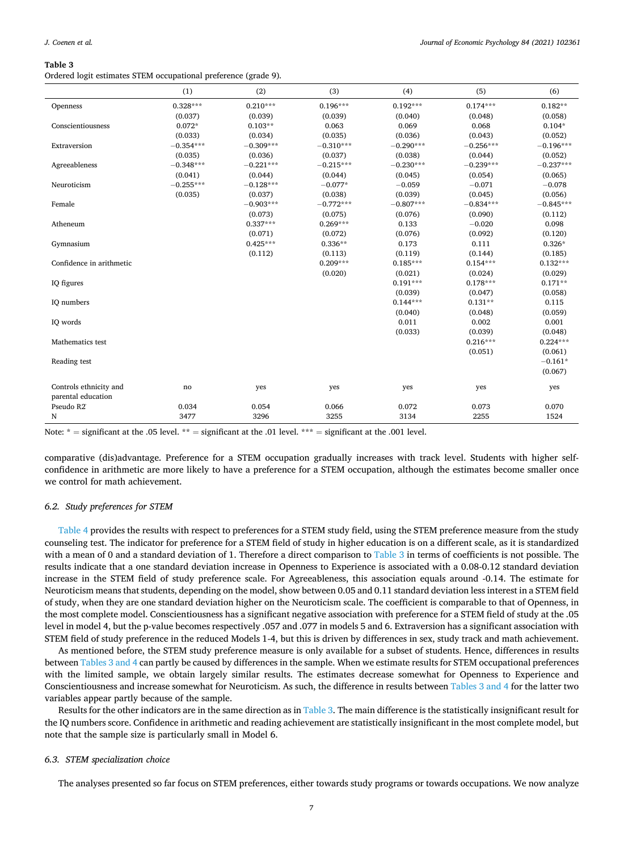<span id="page-6-0"></span>Ordered logit estimates STEM occupational preference (grade 9).

|                                              | (1)         | (2)         | (3)         | (4)         | (5)         | (6)         |
|----------------------------------------------|-------------|-------------|-------------|-------------|-------------|-------------|
| Openness                                     | $0.328***$  | $0.210***$  | $0.196***$  | $0.192***$  | $0.174***$  | $0.182**$   |
|                                              | (0.037)     | (0.039)     | (0.039)     | (0.040)     | (0.048)     | (0.058)     |
| Conscientiousness                            | $0.072*$    | $0.103**$   | 0.063       | 0.069       | 0.068       | $0.104*$    |
|                                              | (0.033)     | (0.034)     | (0.035)     | (0.036)     | (0.043)     | (0.052)     |
| Extraversion                                 | $-0.354***$ | $-0.309***$ | $-0.310***$ | $-0.290***$ | $-0.256***$ | $-0.196***$ |
|                                              | (0.035)     | (0.036)     | (0.037)     | (0.038)     | (0.044)     | (0.052)     |
| Agreeableness                                | $-0.348***$ | $-0.221***$ | $-0.215***$ | $-0.230***$ | $-0.239***$ | $-0.237***$ |
|                                              | (0.041)     | (0.044)     | (0.044)     | (0.045)     | (0.054)     | (0.065)     |
| Neuroticism                                  | $-0.255***$ | $-0.128***$ | $-0.077*$   | $-0.059$    | $-0.071$    | $-0.078$    |
|                                              | (0.035)     | (0.037)     | (0.038)     | (0.039)     | (0.045)     | (0.056)     |
| Female                                       |             | $-0.903***$ | $-0.772***$ | $-0.807***$ | $-0.834***$ | $-0.845***$ |
|                                              |             | (0.073)     | (0.075)     | (0.076)     | (0.090)     | (0.112)     |
| Atheneum                                     |             | $0.337***$  | $0.269***$  | 0.133       | $-0.020$    | 0.098       |
|                                              |             | (0.071)     | (0.072)     | (0.076)     | (0.092)     | (0.120)     |
| Gymnasium                                    |             | $0.425***$  | $0.336**$   | 0.173       | 0.111       | $0.326*$    |
|                                              |             | (0.112)     | (0.113)     | (0.119)     | (0.144)     | (0.185)     |
| Confidence in arithmetic                     |             |             | $0.209***$  | $0.185***$  | $0.154***$  | $0.132***$  |
|                                              |             |             | (0.020)     | (0.021)     | (0.024)     | (0.029)     |
| IQ figures                                   |             |             |             | $0.191***$  | $0.178***$  | $0.171**$   |
|                                              |             |             |             | (0.039)     | (0.047)     | (0.058)     |
| IQ numbers                                   |             |             |             | $0.144***$  | $0.131**$   | 0.115       |
|                                              |             |             |             | (0.040)     | (0.048)     | (0.059)     |
| IQ words                                     |             |             |             | 0.011       | 0.002       | 0.001       |
|                                              |             |             |             | (0.033)     | (0.039)     | (0.048)     |
| Mathematics test                             |             |             |             |             | $0.216***$  | $0.224***$  |
|                                              |             |             |             |             | (0.051)     | (0.061)     |
| Reading test                                 |             |             |             |             |             | $-0.161*$   |
|                                              |             |             |             |             |             | (0.067)     |
| Controls ethnicity and<br>parental education | no          | yes         | yes         | yes         | yes         | yes         |
| Pseudo R2                                    | 0.034       | 0.054       | 0.066       | 0.072       | 0.073       | 0.070       |
| N                                            | 3477        | 3296        | 3255        | 3134        | 2255        | 1524        |

Note:  $*$  = significant at the .05 level.  $**$  = significant at the .01 level.  $***$  = significant at the .001 level.

comparative (dis)advantage. Preference for a STEM occupation gradually increases with track level. Students with higher selfconfidence in arithmetic are more likely to have a preference for a STEM occupation, although the estimates become smaller once we control for math achievement.

### *6.2. Study preferences for STEM*

[Table 4](#page-7-0) provides the results with respect to preferences for a STEM study field, using the STEM preference measure from the study counseling test. The indicator for preference for a STEM field of study in higher education is on a different scale, as it is standardized with a mean of 0 and a standard deviation of 1. Therefore a direct comparison to Table 3 in terms of coefficients is not possible. The results indicate that a one standard deviation increase in Openness to Experience is associated with a 0.08-0.12 standard deviation increase in the STEM field of study preference scale. For Agreeableness, this association equals around -0.14. The estimate for Neuroticism means that students, depending on the model, show between 0.05 and 0.11 standard deviation less interest in a STEM field of study, when they are one standard deviation higher on the Neuroticism scale. The coefficient is comparable to that of Openness, in the most complete model. Conscientiousness has a significant negative association with preference for a STEM field of study at the .05 level in model 4, but the p-value becomes respectively .057 and .077 in models 5 and 6. Extraversion has a significant association with STEM field of study preference in the reduced Models 1-4, but this is driven by differences in sex, study track and math achievement.

As mentioned before, the STEM study preference measure is only available for a subset of students. Hence, differences in results between Tables 3 and 4 can partly be caused by differences in the sample. When we estimate results for STEM occupational preferences with the limited sample, we obtain largely similar results. The estimates decrease somewhat for Openness to Experience and Conscientiousness and increase somewhat for Neuroticism. As such, the difference in results between Tables 3 and 4 for the latter two variables appear partly because of the sample.

Results for the other indicators are in the same direction as in Table 3. The main difference is the statistically insignificant result for the IQ numbers score. Confidence in arithmetic and reading achievement are statistically insignificant in the most complete model, but note that the sample size is particularly small in Model 6.

## *6.3. STEM specialization choice*

The analyses presented so far focus on STEM preferences, either towards study programs or towards occupations. We now analyze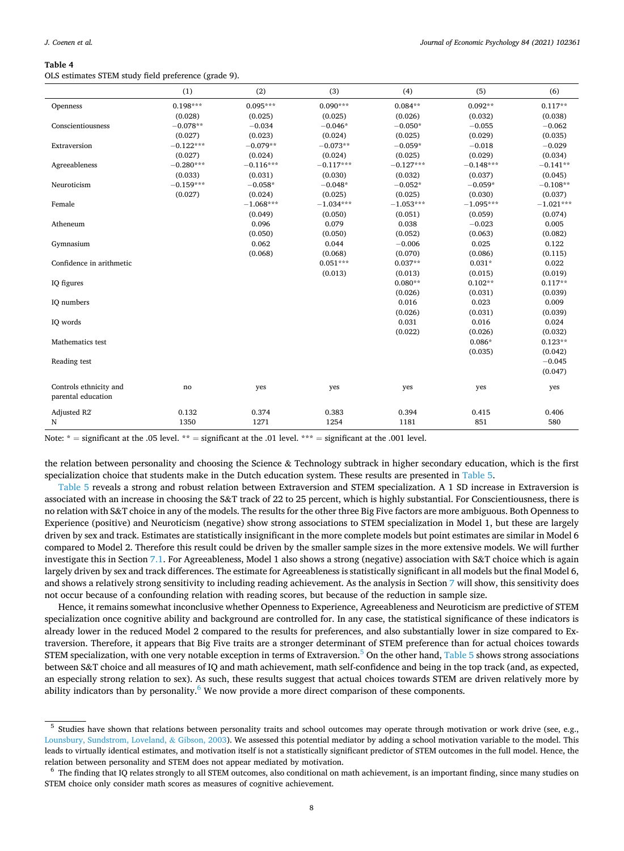<span id="page-7-0"></span>OLS estimates STEM study field preference (grade 9).

|                                              | (1)         | (2)         | (3)         | (4)         | (5)         | (6)         |
|----------------------------------------------|-------------|-------------|-------------|-------------|-------------|-------------|
| Openness                                     | $0.198***$  | $0.095***$  | $0.090***$  | $0.084**$   | $0.092**$   | $0.117**$   |
|                                              | (0.028)     | (0.025)     | (0.025)     | (0.026)     | (0.032)     | (0.038)     |
| Conscientiousness                            | $-0.078**$  | $-0.034$    | $-0.046*$   | $-0.050*$   | $-0.055$    | $-0.062$    |
|                                              | (0.027)     | (0.023)     | (0.024)     | (0.025)     | (0.029)     | (0.035)     |
| Extraversion                                 | $-0.122***$ | $-0.079**$  | $-0.073**$  | $-0.059*$   | $-0.018$    | $-0.029$    |
|                                              | (0.027)     | (0.024)     | (0.024)     | (0.025)     | (0.029)     | (0.034)     |
| Agreeableness                                | $-0.280***$ | $-0.116***$ | $-0.117***$ | $-0.127***$ | $-0.148***$ | $-0.141**$  |
|                                              | (0.033)     | (0.031)     | (0.030)     | (0.032)     | (0.037)     | (0.045)     |
| Neuroticism                                  | $-0.159***$ | $-0.058*$   | $-0.048*$   | $-0.052*$   | $-0.059*$   | $-0.108**$  |
|                                              | (0.027)     | (0.024)     | (0.025)     | (0.025)     | (0.030)     | (0.037)     |
| Female                                       |             | $-1.068***$ | $-1.034***$ | $-1.053***$ | $-1.095***$ | $-1.021***$ |
|                                              |             | (0.049)     | (0.050)     | (0.051)     | (0.059)     | (0.074)     |
| Atheneum                                     |             | 0.096       | 0.079       | 0.038       | $-0.023$    | 0.005       |
|                                              |             | (0.050)     | (0.050)     | (0.052)     | (0.063)     | (0.082)     |
| Gymnasium                                    |             | 0.062       | 0.044       | $-0.006$    | 0.025       | 0.122       |
|                                              |             | (0.068)     | (0.068)     | (0.070)     | (0.086)     | (0.115)     |
| Confidence in arithmetic                     |             |             | $0.051***$  | $0.037**$   | $0.031*$    | 0.022       |
|                                              |             |             | (0.013)     | (0.013)     | (0.015)     | (0.019)     |
| IQ figures                                   |             |             |             | $0.080**$   | $0.102**$   | $0.117**$   |
|                                              |             |             |             | (0.026)     | (0.031)     | (0.039)     |
| IQ numbers                                   |             |             |             | 0.016       | 0.023       | 0.009       |
|                                              |             |             |             | (0.026)     | (0.031)     | (0.039)     |
| IQ words                                     |             |             |             | 0.031       | 0.016       | 0.024       |
|                                              |             |             |             | (0.022)     | (0.026)     | (0.032)     |
| Mathematics test                             |             |             |             |             | $0.086*$    | $0.123**$   |
|                                              |             |             |             |             | (0.035)     | (0.042)     |
| Reading test                                 |             |             |             |             |             | $-0.045$    |
|                                              |             |             |             |             |             | (0.047)     |
| Controls ethnicity and<br>parental education | no          | yes         | yes         | yes         | yes         | yes         |
| Adjusted R2                                  | 0.132       | 0.374       | 0.383       | 0.394       | 0.415       | 0.406       |
| N                                            | 1350        | 1271        | 1254        | 1181        | 851         | 580         |

Note:  $* =$  significant at the .05 level.  $** =$  significant at the .01 level.  $*** =$  significant at the .001 level.

the relation between personality and choosing the Science & Technology subtrack in higher secondary education, which is the first specialization choice that students make in the Dutch education system. These results are presented in [Table 5](#page-8-0).

[Table 5](#page-8-0) reveals a strong and robust relation between Extraversion and STEM specialization. A 1 SD increase in Extraversion is associated with an increase in choosing the S&T track of 22 to 25 percent, which is highly substantial. For Conscientiousness, there is no relation with S&T choice in any of the models. The results for the other three Big Five factors are more ambiguous. Both Openness to Experience (positive) and Neuroticism (negative) show strong associations to STEM specialization in Model 1, but these are largely driven by sex and track. Estimates are statistically insignificant in the more complete models but point estimates are similar in Model 6 compared to Model 2. Therefore this result could be driven by the smaller sample sizes in the more extensive models. We will further investigate this in Section [7.1](#page-11-0). For Agreeableness, Model 1 also shows a strong (negative) association with S&T choice which is again largely driven by sex and track differences. The estimate for Agreeableness is statistically significant in all models but the final Model 6, and shows a relatively strong sensitivity to including reading achievement. As the analysis in Section [7](#page-11-0) will show, this sensitivity does not occur because of a confounding relation with reading scores, but because of the reduction in sample size.

Hence, it remains somewhat inconclusive whether Openness to Experience, Agreeableness and Neuroticism are predictive of STEM specialization once cognitive ability and background are controlled for. In any case, the statistical significance of these indicators is already lower in the reduced Model 2 compared to the results for preferences, and also substantially lower in size compared to Extraversion. Therefore, it appears that Big Five traits are a stronger determinant of STEM preference than for actual choices towards STEM specialization, with one very notable exception in terms of Extraversion.<sup>5</sup> On the other hand, [Table 5](#page-8-0) shows strong associations between S&T choice and all measures of IQ and math achievement, math self-confidence and being in the top track (and, as expected, an especially strong relation to sex). As such, these results suggest that actual choices towards STEM are driven relatively more by ability indicators than by personality.<sup>6</sup> We now provide a more direct comparison of these components.

<sup>&</sup>lt;sup>5</sup> Studies have shown that relations between personality traits and school outcomes may operate through motivation or work drive (see, e.g., [Lounsbury, Sundstrom, Loveland,](#page-15-0) & Gibson, 2003). We assessed this potential mediator by adding a school motivation variable to the model. This leads to virtually identical estimates, and motivation itself is not a statistically significant predictor of STEM outcomes in the full model. Hence, the relation between personality and STEM does not appear mediated by motivation.

<sup>&</sup>lt;sup>6</sup> The finding that IQ relates strongly to all STEM outcomes, also conditional on math achievement, is an important finding, since many studies on STEM choice only consider math scores as measures of cognitive achievement.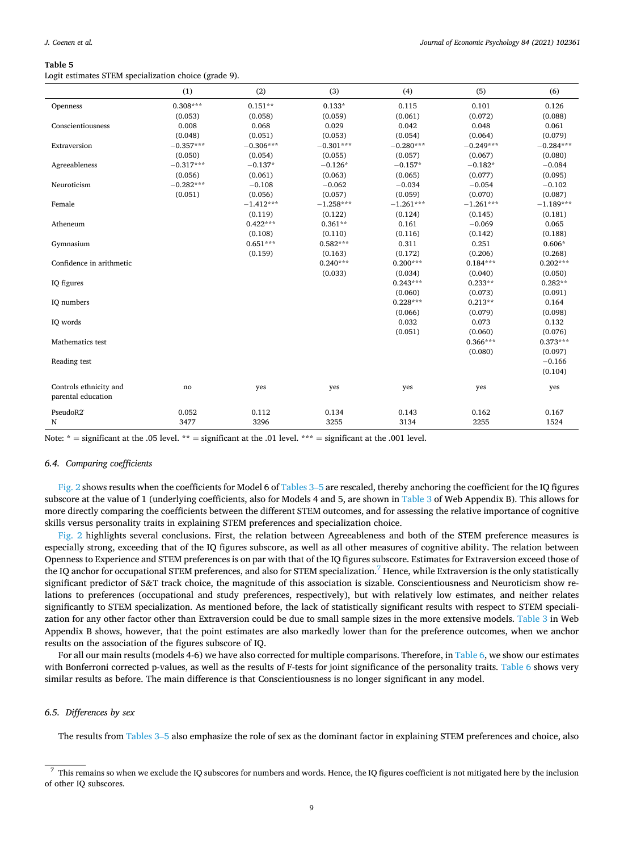<span id="page-8-0"></span>Logit estimates STEM specialization choice (grade 9).

|                                              | (1)         | (2)         | (3)         | (4)         | (5)         | (6)         |
|----------------------------------------------|-------------|-------------|-------------|-------------|-------------|-------------|
| Openness                                     | $0.308***$  | $0.151**$   | $0.133*$    | 0.115       | 0.101       | 0.126       |
|                                              | (0.053)     | (0.058)     | (0.059)     | (0.061)     | (0.072)     | (0.088)     |
| Conscientiousness                            | 0.008       | 0.068       | 0.029       | 0.042       | 0.048       | 0.061       |
|                                              | (0.048)     | (0.051)     | (0.053)     | (0.054)     | (0.064)     | (0.079)     |
| Extraversion                                 | $-0.357***$ | $-0.306***$ | $-0.301***$ | $-0.280***$ | $-0.249***$ | $-0.284***$ |
|                                              | (0.050)     | (0.054)     | (0.055)     | (0.057)     | (0.067)     | (0.080)     |
| Agreeableness                                | $-0.317***$ | $-0.137*$   | $-0.126*$   | $-0.157*$   | $-0.182*$   | $-0.084$    |
|                                              | (0.056)     | (0.061)     | (0.063)     | (0.065)     | (0.077)     | (0.095)     |
| Neuroticism                                  | $-0.282***$ | $-0.108$    | $-0.062$    | $-0.034$    | $-0.054$    | $-0.102$    |
|                                              | (0.051)     | (0.056)     | (0.057)     | (0.059)     | (0.070)     | (0.087)     |
| Female                                       |             | $-1.412***$ | $-1.258***$ | $-1.261***$ | $-1.261***$ | $-1.189***$ |
|                                              |             | (0.119)     | (0.122)     | (0.124)     | (0.145)     | (0.181)     |
| Atheneum                                     |             | $0.422***$  | $0.361**$   | 0.161       | $-0.069$    | 0.065       |
|                                              |             | (0.108)     | (0.110)     | (0.116)     | (0.142)     | (0.188)     |
| Gymnasium                                    |             | $0.651***$  | $0.582***$  | 0.311       | 0.251       | $0.606*$    |
|                                              |             | (0.159)     | (0.163)     | (0.172)     | (0.206)     | (0.268)     |
| Confidence in arithmetic                     |             |             | $0.240***$  | $0.200***$  | $0.184***$  | $0.202***$  |
|                                              |             |             | (0.033)     | (0.034)     | (0.040)     | (0.050)     |
| IQ figures                                   |             |             |             | $0.243***$  | $0.233**$   | $0.282**$   |
|                                              |             |             |             | (0.060)     | (0.073)     | (0.091)     |
| IQ numbers                                   |             |             |             | $0.228***$  | $0.213**$   | 0.164       |
|                                              |             |             |             | (0.066)     | (0.079)     | (0.098)     |
| IQ words                                     |             |             |             | 0.032       | 0.073       | 0.132       |
|                                              |             |             |             | (0.051)     | (0.060)     | (0.076)     |
| Mathematics test                             |             |             |             |             | $0.366***$  | $0.373***$  |
|                                              |             |             |             |             | (0.080)     | (0.097)     |
| Reading test                                 |             |             |             |             |             | $-0.166$    |
|                                              |             |             |             |             |             | (0.104)     |
| Controls ethnicity and<br>parental education | no          | yes         | yes         | yes         | yes         | yes         |
| PseudoR2                                     | 0.052       | 0.112       | 0.134       | 0.143       | 0.162       | 0.167       |
| N                                            | 3477        | 3296        | 3255        | 3134        | 2255        | 1524        |

Note:  $* =$  significant at the .05 level.  $** =$  significant at the .01 level.  $*** =$  significant at the .001 level.

## *6.4. Comparing coefficients*

[Fig. 2](#page-9-0) shows results when the coefficients for Model 6 of [Tables 3](#page-6-0)–5 are rescaled, thereby anchoring the coefficient for the IQ figures subscore at the value of 1 (underlying coefficients, also for Models 4 and 5, are shown in [Table 3](#page-6-0) of Web Appendix B). This allows for more directly comparing the coefficients between the different STEM outcomes, and for assessing the relative importance of cognitive skills versus personality traits in explaining STEM preferences and specialization choice.

[Fig. 2](#page-9-0) highlights several conclusions. First, the relation between Agreeableness and both of the STEM preference measures is especially strong, exceeding that of the IQ figures subscore, as well as all other measures of cognitive ability. The relation between Openness to Experience and STEM preferences is on par with that of the IQ figures subscore. Estimates for Extraversion exceed those of the IQ anchor for occupational STEM preferences, and also for STEM specialization.<sup>7</sup> Hence, while Extraversion is the only statistically significant predictor of S&T track choice, the magnitude of this association is sizable. Conscientiousness and Neuroticism show relations to preferences (occupational and study preferences, respectively), but with relatively low estimates, and neither relates significantly to STEM specialization. As mentioned before, the lack of statistically significant results with respect to STEM specialization for any other factor other than Extraversion could be due to small sample sizes in the more extensive models. [Table 3](#page-6-0) in Web Appendix B shows, however, that the point estimates are also markedly lower than for the preference outcomes, when we anchor results on the association of the figures subscore of IQ.

For all our main results (models 4-6) we have also corrected for multiple comparisons. Therefore, in [Table 6,](#page-9-0) we show our estimates with Bonferroni corrected p-values, as well as the results of F-tests for joint significance of the personality traits. [Table 6](#page-9-0) shows very similar results as before. The main difference is that Conscientiousness is no longer significant in any model.

## *6.5. Differences by sex*

The results from [Tables 3](#page-6-0)–5 also emphasize the role of sex as the dominant factor in explaining STEM preferences and choice, also

 $^7$  This remains so when we exclude the IQ subscores for numbers and words. Hence, the IQ figures coefficient is not mitigated here by the inclusion of other IQ subscores.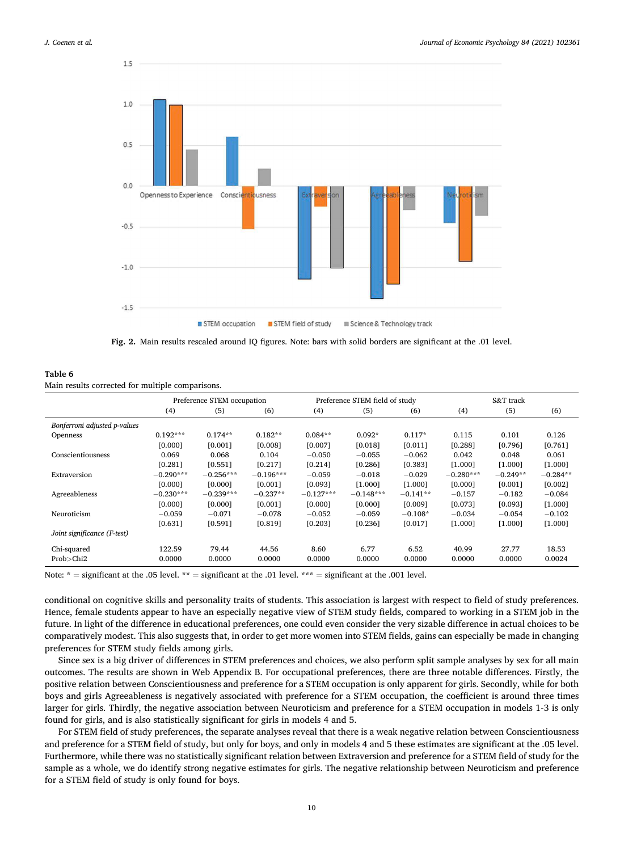$15$ 

<span id="page-9-0"></span>

**Fig. 2.** Main results rescaled around IQ figures. Note: bars with solid borders are significant at the .01 level.

| Table 6                                          |
|--------------------------------------------------|
| Main results corrected for multiple comparisons. |

|                              | Preference STEM occupation |             |             |             | Preference STEM field of study |            |             | S&T track  |            |  |
|------------------------------|----------------------------|-------------|-------------|-------------|--------------------------------|------------|-------------|------------|------------|--|
|                              | (4)                        | (5)         | (6)         | (4)         | (5)                            | (6)        | (4)         | (5)        | (6)        |  |
| Bonferroni adjusted p-values |                            |             |             |             |                                |            |             |            |            |  |
| Openness                     | $0.192***$                 | $0.174**$   | $0.182**$   | $0.084**$   | $0.092*$                       | $0.117*$   | 0.115       | 0.101      | 0.126      |  |
|                              | [0.000]                    | [0.001]     | [0.008]     | [0.007]     | [0.018]                        | [0.011]    | [0.288]     | [0.796]    | [0.761]    |  |
| Conscientiousness            | 0.069                      | 0.068       | 0.104       | $-0.050$    | $-0.055$                       | $-0.062$   | 0.042       | 0.048      | 0.061      |  |
|                              | [0.281]                    | [0.551]     | [0.217]     | [0.214]     | [0.286]                        | [0.383]    | [1.000]     | [1.000]    | [1.000]    |  |
| Extraversion                 | $-0.290***$                | $-0.256***$ | $-0.196***$ | $-0.059$    | $-0.018$                       | $-0.029$   | $-0.280***$ | $-0.249**$ | $-0.284**$ |  |
|                              | [0.000]                    | [0.000]     | [0.001]     | [0.093]     | [1.000]                        | [1.000]    | [0.000]     | [0.001]    | [0.002]    |  |
| Agreeableness                | $-0.230***$                | $-0.239***$ | $-0.237**$  | $-0.127***$ | $-0.148***$                    | $-0.141**$ | $-0.157$    | $-0.182$   | $-0.084$   |  |
|                              | [0.000]                    | [0.000]     | [0.001]     | [0.000]     | [0.000]                        | [0.009]    | [0.073]     | [0.093]    | [1.000]    |  |
| Neuroticism                  | $-0.059$                   | $-0.071$    | $-0.078$    | $-0.052$    | $-0.059$                       | $-0.108*$  | $-0.034$    | $-0.054$   | $-0.102$   |  |
|                              | [0.631]                    | [0.591]     | [0.819]     | [0.203]     | [0.236]                        | [0.017]    | [1.000]     | [1.000]    | [1.000]    |  |
| Joint significance (F-test)  |                            |             |             |             |                                |            |             |            |            |  |
| Chi-squared                  | 122.59                     | 79.44       | 44.56       | 8.60        | 6.77                           | 6.52       | 40.99       | 27.77      | 18.53      |  |
| Prob > Chi2                  | 0.0000                     | 0.0000      | 0.0000      | 0.0000      | 0.0000                         | 0.0000     | 0.0000      | 0.0000     | 0.0024     |  |

Note:  $* =$  significant at the .05 level.  $** =$  significant at the .01 level.  $*** =$  significant at the .001 level.

conditional on cognitive skills and personality traits of students. This association is largest with respect to field of study preferences. Hence, female students appear to have an especially negative view of STEM study fields, compared to working in a STEM job in the future. In light of the difference in educational preferences, one could even consider the very sizable difference in actual choices to be comparatively modest. This also suggests that, in order to get more women into STEM fields, gains can especially be made in changing preferences for STEM study fields among girls.

Since sex is a big driver of differences in STEM preferences and choices, we also perform split sample analyses by sex for all main outcomes. The results are shown in Web Appendix B. For occupational preferences, there are three notable differences. Firstly, the positive relation between Conscientiousness and preference for a STEM occupation is only apparent for girls. Secondly, while for both boys and girls Agreeableness is negatively associated with preference for a STEM occupation, the coefficient is around three times larger for girls. Thirdly, the negative association between Neuroticism and preference for a STEM occupation in models 1-3 is only found for girls, and is also statistically significant for girls in models 4 and 5.

For STEM field of study preferences, the separate analyses reveal that there is a weak negative relation between Conscientiousness and preference for a STEM field of study, but only for boys, and only in models 4 and 5 these estimates are significant at the .05 level. Furthermore, while there was no statistically significant relation between Extraversion and preference for a STEM field of study for the sample as a whole, we do identify strong negative estimates for girls. The negative relationship between Neuroticism and preference for a STEM field of study is only found for boys.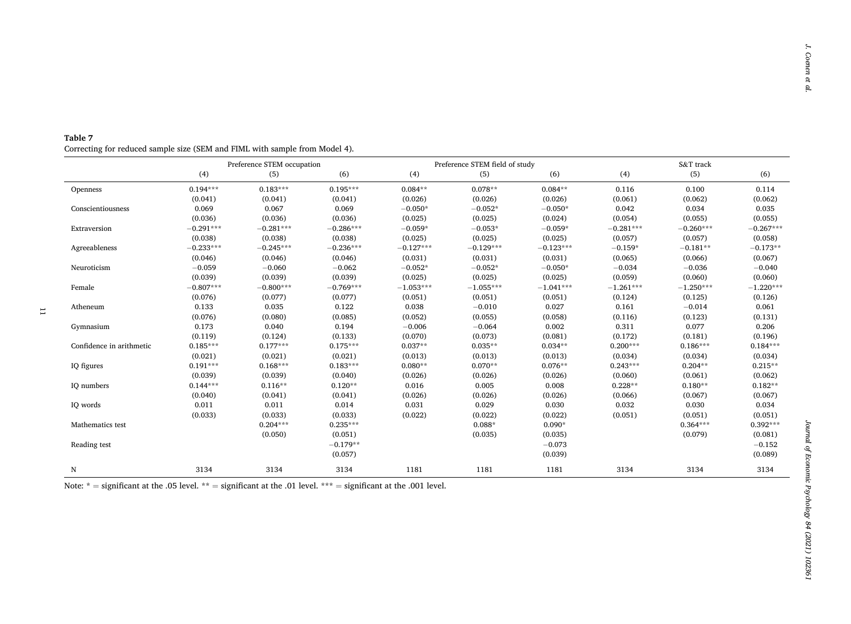|                          |             | Preference STEM occupation |             |             | Preference STEM field of study |             |             | S&T track   |             |  |
|--------------------------|-------------|----------------------------|-------------|-------------|--------------------------------|-------------|-------------|-------------|-------------|--|
|                          | (4)         | (5)                        | (6)         | (4)         | (5)                            | (6)         | (4)         | (5)         | (6)         |  |
| Openness                 | $0.194***$  | $0.183***$                 | $0.195***$  | $0.084**$   | $0.078**$                      | $0.084**$   | 0.116       | 0.100       | 0.114       |  |
|                          | (0.041)     | (0.041)                    | (0.041)     | (0.026)     | (0.026)                        | (0.026)     | (0.061)     | (0.062)     | (0.062)     |  |
| Conscientiousness        | 0.069       | 0.067                      | 0.069       | $-0.050*$   | $-0.052*$                      | $-0.050*$   | 0.042       | 0.034       | 0.035       |  |
|                          | (0.036)     | (0.036)                    | (0.036)     | (0.025)     | (0.025)                        | (0.024)     | (0.054)     | (0.055)     | (0.055)     |  |
| Extraversion             | $-0.291***$ | $-0.281***$                | $-0.286***$ | $-0.059*$   | $-0.053*$                      | $-0.059*$   | $-0.281***$ | $-0.260***$ | $-0.267***$ |  |
|                          | (0.038)     | (0.038)                    | (0.038)     | (0.025)     | (0.025)                        | (0.025)     | (0.057)     | (0.057)     | (0.058)     |  |
| Agreeableness            | $-0.233***$ | $-0.245***$                | $-0.236***$ | $-0.127***$ | $-0.129***$                    | $-0.123***$ | $-0.159*$   | $-0.181**$  | $-0.173**$  |  |
|                          | (0.046)     | (0.046)                    | (0.046)     | (0.031)     | (0.031)                        | (0.031)     | (0.065)     | (0.066)     | (0.067)     |  |
| Neuroticism              | $-0.059$    | $-0.060$                   | $-0.062$    | $-0.052*$   | $-0.052*$                      | $-0.050*$   | $-0.034$    | $-0.036$    | $-0.040$    |  |
|                          | (0.039)     | (0.039)                    | (0.039)     | (0.025)     | (0.025)                        | (0.025)     | (0.059)     | (0.060)     | (0.060)     |  |
| Female                   | $-0.807***$ | $-0.800***$                | $-0.769***$ | $-1.053***$ | $-1.055***$                    | $-1.041***$ | $-1.261***$ | $-1.250***$ | $-1.220***$ |  |
|                          | (0.076)     | (0.077)                    | (0.077)     | (0.051)     | (0.051)                        | (0.051)     | (0.124)     | (0.125)     | (0.126)     |  |
| Atheneum                 | 0.133       | 0.035                      | 0.122       | 0.038       | $-0.010$                       | 0.027       | 0.161       | $-0.014$    | 0.061       |  |
|                          | (0.076)     | (0.080)                    | (0.085)     | (0.052)     | (0.055)                        | (0.058)     | (0.116)     | (0.123)     | (0.131)     |  |
| Gymnasium                | 0.173       | 0.040                      | 0.194       | $-0.006$    | $-0.064$                       | 0.002       | 0.311       | 0.077       | 0.206       |  |
|                          | (0.119)     | (0.124)                    | (0.133)     | (0.070)     | (0.073)                        | (0.081)     | (0.172)     | (0.181)     | (0.196)     |  |
| Confidence in arithmetic | $0.185***$  | $0.177***$                 | $0.175***$  | $0.037**$   | $0.035**$                      | $0.034**$   | $0.200***$  | $0.186***$  | $0.184***$  |  |
|                          | (0.021)     | (0.021)                    | (0.021)     | (0.013)     | (0.013)                        | (0.013)     | (0.034)     | (0.034)     | (0.034)     |  |
| IQ figures               | $0.191***$  | $0.168***$                 | $0.183***$  | $0.080**$   | $0.070**$                      | $0.076**$   | $0.243***$  | $0.204**$   | $0.215**$   |  |
|                          | (0.039)     | (0.039)                    | (0.040)     | (0.026)     | (0.026)                        | (0.026)     | (0.060)     | (0.061)     | (0.062)     |  |
| IQ numbers               | $0.144***$  | $0.116**$                  | $0.120**$   | 0.016       | 0.005                          | 0.008       | $0.228**$   | $0.180**$   | $0.182**$   |  |
|                          | (0.040)     | (0.041)                    | (0.041)     | (0.026)     | (0.026)                        | (0.026)     | (0.066)     | (0.067)     | (0.067)     |  |
| IQ words                 | 0.011       | 0.011                      | 0.014       | 0.031       | 0.029                          | 0.030       | 0.032       | 0.030       | 0.034       |  |
|                          | (0.033)     | (0.033)                    | (0.033)     | (0.022)     | (0.022)                        | (0.022)     | (0.051)     | (0.051)     | (0.051)     |  |
| Mathematics test         |             | $0.204***$                 | $0.235***$  |             | $0.088*$                       | $0.090*$    |             | $0.364***$  | $0.392***$  |  |
|                          |             | (0.050)                    | (0.051)     |             | (0.035)                        | (0.035)     |             | (0.079)     | (0.081)     |  |
| Reading test             |             |                            | $-0.179**$  |             |                                | $-0.073$    |             |             | $-0.152$    |  |
|                          |             |                            | (0.057)     |             |                                | (0.039)     |             |             | (0.089)     |  |
| N                        | 3134        | 3134                       | 3134        | 1181        | 1181                           | 1181        | 3134        | 3134        | 3134        |  |

<span id="page-10-0"></span>**Table 7**  Correcting for reduced sample size (SEM and FIML with sample from Model 4).

Note:  $*$  = significant at the .05 level.  $**$  = significant at the .01 level.  $***$  = significant at the .001 level.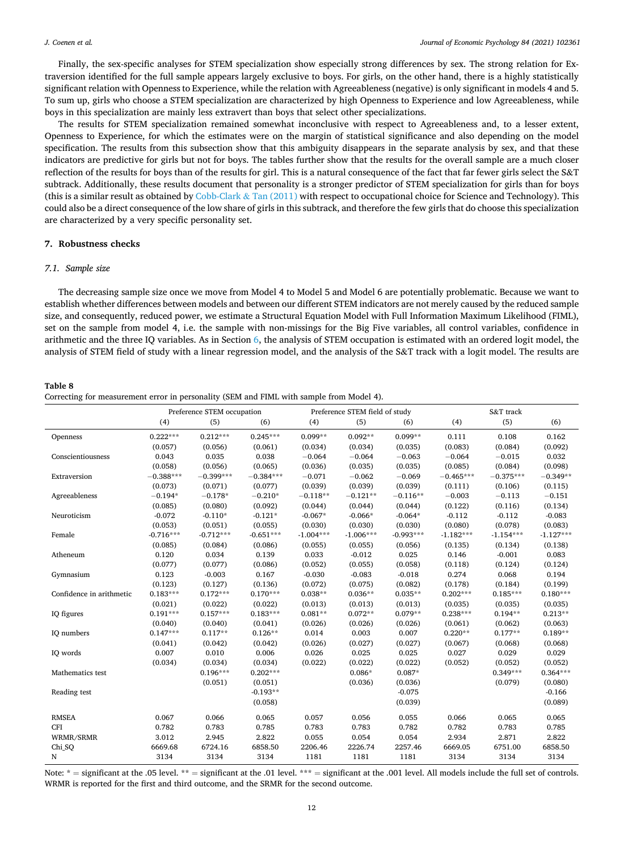<span id="page-11-0"></span>Finally, the sex-specific analyses for STEM specialization show especially strong differences by sex. The strong relation for Extraversion identified for the full sample appears largely exclusive to boys. For girls, on the other hand, there is a highly statistically significant relation with Openness to Experience, while the relation with Agreeableness (negative) is only significant in models 4 and 5. To sum up, girls who choose a STEM specialization are characterized by high Openness to Experience and low Agreeableness, while boys in this specialization are mainly less extravert than boys that select other specializations.

The results for STEM specialization remained somewhat inconclusive with respect to Agreeableness and, to a lesser extent, Openness to Experience, for which the estimates were on the margin of statistical significance and also depending on the model specification. The results from this subsection show that this ambiguity disappears in the separate analysis by sex, and that these indicators are predictive for girls but not for boys. The tables further show that the results for the overall sample are a much closer reflection of the results for boys than of the results for girl. This is a natural consequence of the fact that far fewer girls select the S&T subtrack. Additionally, these results document that personality is a stronger predictor of STEM specialization for girls than for boys (this is a similar result as obtained by [Cobb-Clark](#page-14-0)  $\&$  Tan (2011) with respect to occupational choice for Science and Technology). This could also be a direct consequence of the low share of girls in this subtrack, and therefore the few girls that do choose this specialization are characterized by a very specific personality set.

# **7. Robustness checks**

#### *7.1. Sample size*

The decreasing sample size once we move from Model 4 to Model 5 and Model 6 are potentially problematic. Because we want to establish whether differences between models and between our different STEM indicators are not merely caused by the reduced sample size, and consequently, reduced power, we estimate a Structural Equation Model with Full Information Maximum Likelihood (FIML), set on the sample from model 4, i.e. the sample with non-missings for the Big Five variables, all control variables, confidence in arithmetic and the three IQ variables. As in Section [6,](#page-4-0) the analysis of STEM occupation is estimated with an ordered logit model, the analysis of STEM field of study with a linear regression model, and the analysis of the S&T track with a logit model. The results are

| Table 8                                                                                  |  |
|------------------------------------------------------------------------------------------|--|
| Correcting for measurement error in personality (SEM and FIML with sample from Model 4). |  |

|                          |             | Preference STEM occupation |             |             | Preference STEM field of study |             |             | S&T track   |             |
|--------------------------|-------------|----------------------------|-------------|-------------|--------------------------------|-------------|-------------|-------------|-------------|
|                          | (4)         | (5)                        | (6)         | (4)         | (5)                            | (6)         | (4)         | (5)         | (6)         |
| Openness                 | $0.222***$  | $0.212***$                 | $0.245***$  | $0.099**$   | $0.092**$                      | $0.099**$   | 0.111       | 0.108       | 0.162       |
|                          | (0.057)     | (0.056)                    | (0.061)     | (0.034)     | (0.034)                        | (0.035)     | (0.083)     | (0.084)     | (0.092)     |
| Conscientiousness        | 0.043       | 0.035                      | 0.038       | $-0.064$    | $-0.064$                       | $-0.063$    | $-0.064$    | $-0.015$    | 0.032       |
|                          | (0.058)     | (0.056)                    | (0.065)     | (0.036)     | (0.035)                        | (0.035)     | (0.085)     | (0.084)     | (0.098)     |
| Extraversion             | $-0.388***$ | $-0.399***$                | $-0.384***$ | $-0.071$    | $-0.062$                       | $-0.069$    | $-0.465***$ | $-0.375***$ | $-0.349**$  |
|                          | (0.073)     | (0.071)                    | (0.077)     | (0.039)     | (0.039)                        | (0.039)     | (0.111)     | (0.106)     | (0.115)     |
| Agreeableness            | $-0.194*$   | $-0.178*$                  | $-0.210*$   | $-0.118**$  | $-0.121**$                     | $-0.116**$  | $-0.003$    | $-0.113$    | $-0.151$    |
|                          | (0.085)     | (0.080)                    | (0.092)     | (0.044)     | (0.044)                        | (0.044)     | (0.122)     | (0.116)     | (0.134)     |
| Neuroticism              | $-0.072$    | $-0.110*$                  | $-0.121*$   | $-0.067*$   | $-0.066*$                      | $-0.064*$   | $-0.112$    | $-0.112$    | $-0.083$    |
|                          | (0.053)     | (0.051)                    | (0.055)     | (0.030)     | (0.030)                        | (0.030)     | (0.080)     | (0.078)     | (0.083)     |
| Female                   | $-0.716***$ | $-0.712***$                | $-0.651***$ | $-1.004***$ | $-1.006***$                    | $-0.993***$ | $-1.182***$ | $-1.154***$ | $-1.127***$ |
|                          | (0.085)     | (0.084)                    | (0.086)     | (0.055)     | (0.055)                        | (0.056)     | (0.135)     | (0.134)     | (0.138)     |
| Atheneum                 | 0.120       | 0.034                      | 0.139       | 0.033       | $-0.012$                       | 0.025       | 0.146       | $-0.001$    | 0.083       |
|                          | (0.077)     | (0.077)                    | (0.086)     | (0.052)     | (0.055)                        | (0.058)     | (0.118)     | (0.124)     | (0.124)     |
| Gymnasium                | 0.123       | $-0.003$                   | 0.167       | $-0.030$    | $-0.083$                       | $-0.018$    | 0.274       | 0.068       | 0.194       |
|                          | (0.123)     | (0.127)                    | (0.136)     | (0.072)     | (0.075)                        | (0.082)     | (0.178)     | (0.184)     | (0.199)     |
| Confidence in arithmetic | $0.183***$  | $0.172***$                 | $0.170***$  | $0.038**$   | $0.036**$                      | $0.035**$   | $0.202***$  | $0.185***$  | $0.180***$  |
|                          | (0.021)     | (0.022)                    | (0.022)     | (0.013)     | (0.013)                        | (0.013)     | (0.035)     | (0.035)     | (0.035)     |
| IQ figures               | $0.191***$  | $0.157***$                 | $0.183***$  | $0.081**$   | $0.072**$                      | $0.079**$   | $0.238***$  | $0.194**$   | $0.213**$   |
|                          | (0.040)     | (0.040)                    | (0.041)     | (0.026)     | (0.026)                        | (0.026)     | (0.061)     | (0.062)     | (0.063)     |
| IQ numbers               | $0.147***$  | $0.117**$                  | $0.126**$   | 0.014       | 0.003                          | 0.007       | $0.220**$   | $0.177**$   | $0.189**$   |
|                          | (0.041)     | (0.042)                    | (0.042)     | (0.026)     | (0.027)                        | (0.027)     | (0.067)     | (0.068)     | (0.068)     |
| IQ words                 | 0.007       | 0.010                      | 0.006       | 0.026       | 0.025                          | 0.025       | 0.027       | 0.029       | 0.029       |
|                          | (0.034)     | (0.034)                    | (0.034)     | (0.022)     | (0.022)                        | (0.022)     | (0.052)     | (0.052)     | (0.052)     |
| Mathematics test         |             | $0.196***$                 | $0.202***$  |             | $0.086*$                       | $0.087*$    |             | $0.349***$  | $0.364***$  |
|                          |             | (0.051)                    | (0.051)     |             | (0.036)                        | (0.036)     |             | (0.079)     | (0.080)     |
| Reading test             |             |                            | $-0.193**$  |             |                                | $-0.075$    |             |             | $-0.166$    |
|                          |             |                            | (0.058)     |             |                                | (0.039)     |             |             | (0.089)     |
| <b>RMSEA</b>             | 0.067       | 0.066                      | 0.065       | 0.057       | 0.056                          | 0.055       | 0.066       | 0.065       | 0.065       |
| <b>CFI</b>               | 0.782       | 0.783                      | 0.785       | 0.783       | 0.783                          | 0.782       | 0.782       | 0.783       | 0.785       |
| WRMR/SRMR                | 3.012       | 2.945                      | 2.822       | 0.055       | 0.054                          | 0.054       | 2.934       | 2.871       | 2.822       |
| Chi SQ                   | 6669.68     | 6724.16                    | 6858.50     | 2206.46     | 2226.74                        | 2257.46     | 6669.05     | 6751.00     | 6858.50     |
| N                        | 3134        | 3134                       | 3134        | 1181        | 1181                           | 1181        | 3134        | 3134        | 3134        |

Note: \* = significant at the .05 level. \*\* = significant at the .01 level. \*\*\* = significant at the .001 level. All models include the full set of controls. WRMR is reported for the first and third outcome, and the SRMR for the second outcome.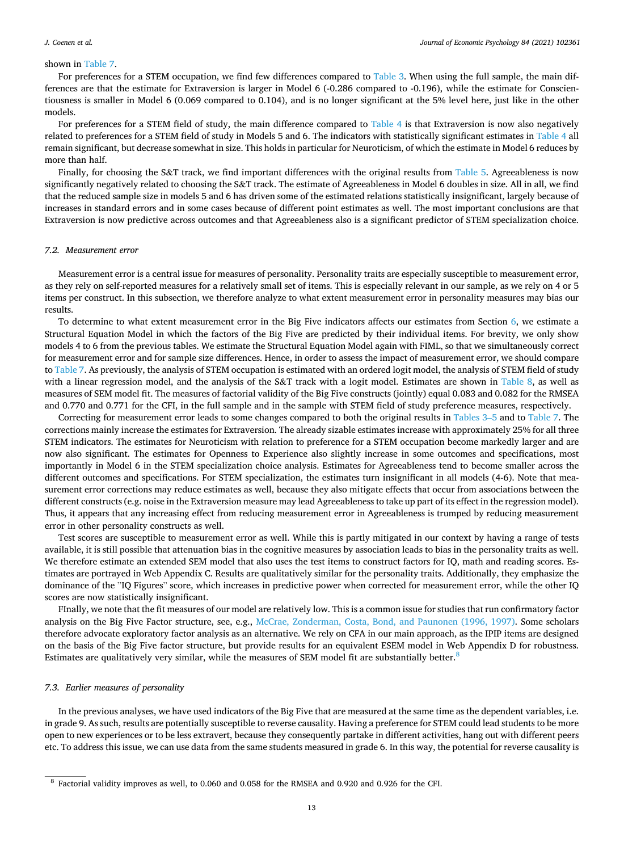### *J. Coenen et al.*

#### shown in [Table 7.](#page-10-0)

For preferences for a STEM occupation, we find few differences compared to [Table 3.](#page-6-0) When using the full sample, the main differences are that the estimate for Extraversion is larger in Model 6 (-0.286 compared to -0.196), while the estimate for Conscientiousness is smaller in Model 6 (0.069 compared to 0.104), and is no longer significant at the 5% level here, just like in the other models.

For preferences for a STEM field of study, the main difference compared to [Table 4](#page-7-0) is that Extraversion is now also negatively related to preferences for a STEM field of study in Models 5 and 6. The indicators with statistically significant estimates in [Table 4](#page-7-0) all remain significant, but decrease somewhat in size. This holds in particular for Neuroticism, of which the estimate in Model 6 reduces by more than half.

Finally, for choosing the S&T track, we find important differences with the original results from [Table 5](#page-8-0). Agreeableness is now significantly negatively related to choosing the S&T track. The estimate of Agreeableness in Model 6 doubles in size. All in all, we find that the reduced sample size in models 5 and 6 has driven some of the estimated relations statistically insignificant, largely because of increases in standard errors and in some cases because of different point estimates as well. The most important conclusions are that Extraversion is now predictive across outcomes and that Agreeableness also is a significant predictor of STEM specialization choice.

#### *7.2. Measurement error*

Measurement error is a central issue for measures of personality. Personality traits are especially susceptible to measurement error, as they rely on self-reported measures for a relatively small set of items. This is especially relevant in our sample, as we rely on 4 or 5 items per construct. In this subsection, we therefore analyze to what extent measurement error in personality measures may bias our results.

To determine to what extent measurement error in the Big Five indicators affects our estimates from Section [6](#page-4-0), we estimate a Structural Equation Model in which the factors of the Big Five are predicted by their individual items. For brevity, we only show models 4 to 6 from the previous tables. We estimate the Structural Equation Model again with FIML, so that we simultaneously correct for measurement error and for sample size differences. Hence, in order to assess the impact of measurement error, we should compare to [Table 7.](#page-10-0) As previously, the analysis of STEM occupation is estimated with an ordered logit model, the analysis of STEM field of study with a linear regression model, and the analysis of the S&T track with a logit model. Estimates are shown in [Table 8,](#page-11-0) as well as measures of SEM model fit. The measures of factorial validity of the Big Five constructs (jointly) equal 0.083 and 0.082 for the RMSEA and 0.770 and 0.771 for the CFI, in the full sample and in the sample with STEM field of study preference measures, respectively.

Correcting for measurement error leads to some changes compared to both the original results in [Tables 3](#page-6-0)–5 and to [Table 7](#page-10-0). The corrections mainly increase the estimates for Extraversion. The already sizable estimates increase with approximately 25% for all three STEM indicators. The estimates for Neuroticism with relation to preference for a STEM occupation become markedly larger and are now also significant. The estimates for Openness to Experience also slightly increase in some outcomes and specifications, most importantly in Model 6 in the STEM specialization choice analysis. Estimates for Agreeableness tend to become smaller across the different outcomes and specifications. For STEM specialization, the estimates turn insignificant in all models (4-6). Note that measurement error corrections may reduce estimates as well, because they also mitigate effects that occur from associations between the different constructs (e.g. noise in the Extraversion measure may lead Agreeableness to take up part of its effect in the regression model). Thus, it appears that any increasing effect from reducing measurement error in Agreeableness is trumped by reducing measurement error in other personality constructs as well.

Test scores are susceptible to measurement error as well. While this is partly mitigated in our context by having a range of tests available, it is still possible that attenuation bias in the cognitive measures by association leads to bias in the personality traits as well. We therefore estimate an extended SEM model that also uses the test items to construct factors for IQ, math and reading scores. Estimates are portrayed in Web Appendix C. Results are qualitatively similar for the personality traits. Additionally, they emphasize the dominance of the "IQ Figures" score, which increases in predictive power when corrected for measurement error, while the other IQ scores are now statistically insignificant.

FInally, we note that the fit measures of our model are relatively low. This is a common issue for studies that run confirmatory factor analysis on the Big Five Factor structure, see, e.g., [McCrae, Zonderman, Costa, Bond, and Paunonen \(1996, 1997\).](#page-15-0) Some scholars therefore advocate exploratory factor analysis as an alternative. We rely on CFA in our main approach, as the IPIP items are designed on the basis of the Big Five factor structure, but provide results for an equivalent ESEM model in Web Appendix D for robustness. Estimates are qualitatively very similar, while the measures of SEM model fit are substantially better.<sup>8</sup>

## *7.3. Earlier measures of personality*

In the previous analyses, we have used indicators of the Big Five that are measured at the same time as the dependent variables, i.e. in grade 9. As such, results are potentially susceptible to reverse causality. Having a preference for STEM could lead students to be more open to new experiences or to be less extravert, because they consequently partake in different activities, hang out with different peers etc. To address this issue, we can use data from the same students measured in grade 6. In this way, the potential for reverse causality is

<sup>8</sup>Factorial validity improves as well, to 0.060 and 0.058 for the RMSEA and 0.920 and 0.926 for the CFI.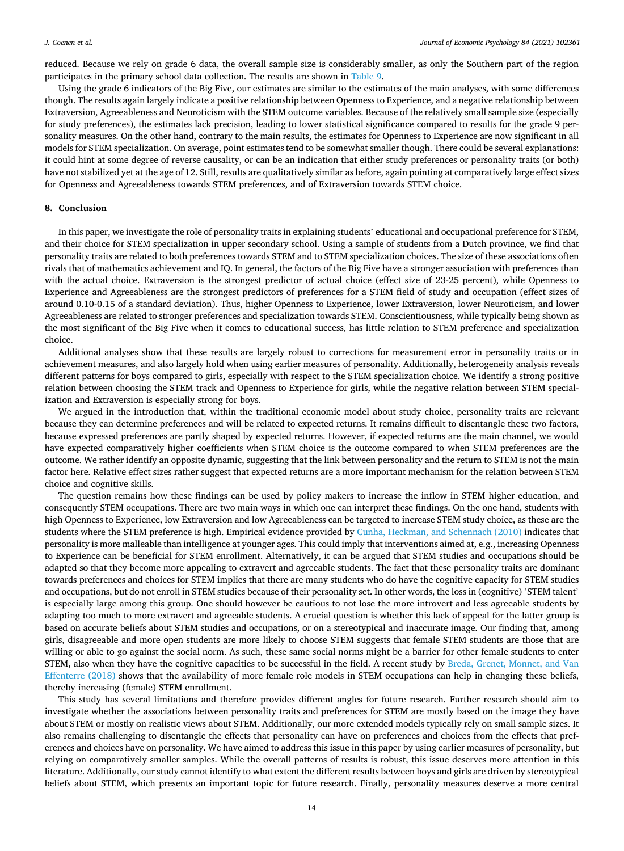<span id="page-13-0"></span>reduced. Because we rely on grade 6 data, the overall sample size is considerably smaller, as only the Southern part of the region participates in the primary school data collection. The results are shown in [Table 9](#page-14-0).

Using the grade 6 indicators of the Big Five, our estimates are similar to the estimates of the main analyses, with some differences though. The results again largely indicate a positive relationship between Openness to Experience, and a negative relationship between Extraversion, Agreeableness and Neuroticism with the STEM outcome variables. Because of the relatively small sample size (especially for study preferences), the estimates lack precision, leading to lower statistical significance compared to results for the grade 9 personality measures. On the other hand, contrary to the main results, the estimates for Openness to Experience are now significant in all models for STEM specialization. On average, point estimates tend to be somewhat smaller though. There could be several explanations: it could hint at some degree of reverse causality, or can be an indication that either study preferences or personality traits (or both) have not stabilized yet at the age of 12. Still, results are qualitatively similar as before, again pointing at comparatively large effect sizes for Openness and Agreeableness towards STEM preferences, and of Extraversion towards STEM choice.

# **8. Conclusion**

In this paper, we investigate the role of personality traits in explaining students' educational and occupational preference for STEM, and their choice for STEM specialization in upper secondary school. Using a sample of students from a Dutch province, we find that personality traits are related to both preferences towards STEM and to STEM specialization choices. The size of these associations often rivals that of mathematics achievement and IQ. In general, the factors of the Big Five have a stronger association with preferences than with the actual choice. Extraversion is the strongest predictor of actual choice (effect size of 23-25 percent), while Openness to Experience and Agreeableness are the strongest predictors of preferences for a STEM field of study and occupation (effect sizes of around 0.10-0.15 of a standard deviation). Thus, higher Openness to Experience, lower Extraversion, lower Neuroticism, and lower Agreeableness are related to stronger preferences and specialization towards STEM. Conscientiousness, while typically being shown as the most significant of the Big Five when it comes to educational success, has little relation to STEM preference and specialization choice.

Additional analyses show that these results are largely robust to corrections for measurement error in personality traits or in achievement measures, and also largely hold when using earlier measures of personality. Additionally, heterogeneity analysis reveals different patterns for boys compared to girls, especially with respect to the STEM specialization choice. We identify a strong positive relation between choosing the STEM track and Openness to Experience for girls, while the negative relation between STEM specialization and Extraversion is especially strong for boys.

We argued in the introduction that, within the traditional economic model about study choice, personality traits are relevant because they can determine preferences and will be related to expected returns. It remains difficult to disentangle these two factors, because expressed preferences are partly shaped by expected returns. However, if expected returns are the main channel, we would have expected comparatively higher coefficients when STEM choice is the outcome compared to when STEM preferences are the outcome. We rather identify an opposite dynamic, suggesting that the link between personality and the return to STEM is not the main factor here. Relative effect sizes rather suggest that expected returns are a more important mechanism for the relation between STEM choice and cognitive skills.

The question remains how these findings can be used by policy makers to increase the inflow in STEM higher education, and consequently STEM occupations. There are two main ways in which one can interpret these findings. On the one hand, students with high Openness to Experience, low Extraversion and low Agreeableness can be targeted to increase STEM study choice, as these are the students where the STEM preference is high. Empirical evidence provided by [Cunha, Heckman, and Schennach \(2010\)](#page-14-0) indicates that personality is more malleable than intelligence at younger ages. This could imply that interventions aimed at, e.g., increasing Openness to Experience can be beneficial for STEM enrollment. Alternatively, it can be argued that STEM studies and occupations should be adapted so that they become more appealing to extravert and agreeable students. The fact that these personality traits are dominant towards preferences and choices for STEM implies that there are many students who do have the cognitive capacity for STEM studies and occupations, but do not enroll in STEM studies because of their personality set. In other words, the loss in (cognitive) 'STEM talent' is especially large among this group. One should however be cautious to not lose the more introvert and less agreeable students by adapting too much to more extravert and agreeable students. A crucial question is whether this lack of appeal for the latter group is based on accurate beliefs about STEM studies and occupations, or on a stereotypical and inaccurate image. Our finding that, among girls, disagreeable and more open students are more likely to choose STEM suggests that female STEM students are those that are willing or able to go against the social norm. As such, these same social norms might be a barrier for other female students to enter STEM, also when they have the cognitive capacities to be successful in the field. A recent study by [Breda, Grenet, Monnet, and Van](#page-14-0) [Effenterre \(2018\)](#page-14-0) shows that the availability of more female role models in STEM occupations can help in changing these beliefs, thereby increasing (female) STEM enrollment.

This study has several limitations and therefore provides different angles for future research. Further research should aim to investigate whether the associations between personality traits and preferences for STEM are mostly based on the image they have about STEM or mostly on realistic views about STEM. Additionally, our more extended models typically rely on small sample sizes. It also remains challenging to disentangle the effects that personality can have on preferences and choices from the effects that preferences and choices have on personality. We have aimed to address this issue in this paper by using earlier measures of personality, but relying on comparatively smaller samples. While the overall patterns of results is robust, this issue deserves more attention in this literature. Additionally, our study cannot identify to what extent the different results between boys and girls are driven by stereotypical beliefs about STEM, which presents an important topic for future research. Finally, personality measures deserve a more central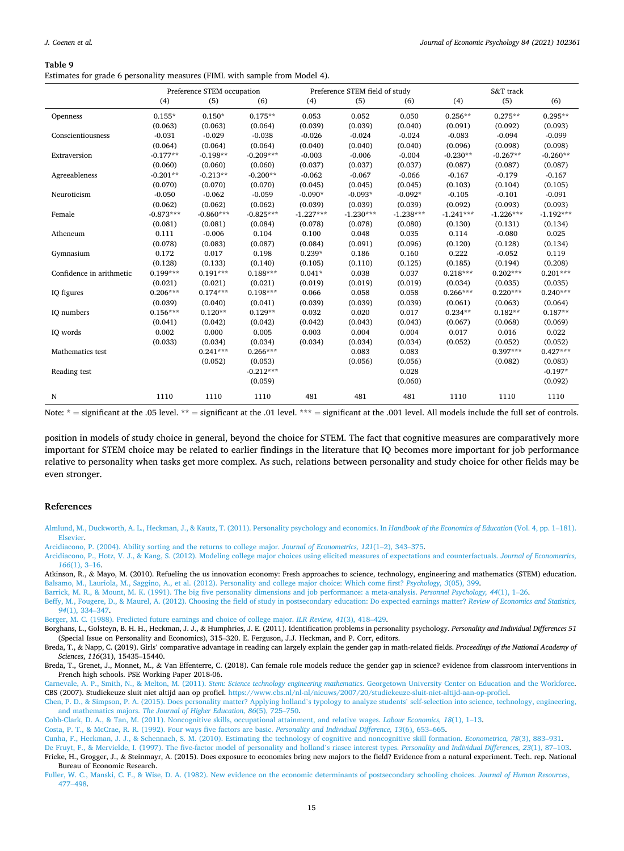<span id="page-14-0"></span>Estimates for grade 6 personality measures (FIML with sample from Model 4).

|                          | Preference STEM occupation |             |             |             | Preference STEM field of study |             | S&T track   |             |             |
|--------------------------|----------------------------|-------------|-------------|-------------|--------------------------------|-------------|-------------|-------------|-------------|
|                          | (4)                        | (5)         | (6)         | (4)         | (5)                            | (6)         | (4)         | (5)         | (6)         |
| Openness                 | $0.155*$                   | $0.150*$    | $0.175**$   | 0.053       | 0.052                          | 0.050       | $0.256**$   | $0.275**$   | $0.295**$   |
|                          | (0.063)                    | (0.063)     | (0.064)     | (0.039)     | (0.039)                        | (0.040)     | (0.091)     | (0.092)     | (0.093)     |
| Conscientiousness        | $-0.031$                   | $-0.029$    | $-0.038$    | $-0.026$    | $-0.024$                       | $-0.024$    | $-0.083$    | $-0.094$    | $-0.099$    |
|                          | (0.064)                    | (0.064)     | (0.064)     | (0.040)     | (0.040)                        | (0.040)     | (0.096)     | (0.098)     | (0.098)     |
| Extraversion             | $-0.177**$                 | $-0.198**$  | $-0.209***$ | $-0.003$    | $-0.006$                       | $-0.004$    | $-0.230**$  | $-0.267**$  | $-0.260**$  |
|                          | (0.060)                    | (0.060)     | (0.060)     | (0.037)     | (0.037)                        | (0.037)     | (0.087)     | (0.087)     | (0.087)     |
| Agreeableness            | $-0.201**$                 | $-0.213**$  | $-0.200**$  | $-0.062$    | $-0.067$                       | $-0.066$    | $-0.167$    | $-0.179$    | $-0.167$    |
|                          | (0.070)                    | (0.070)     | (0.070)     | (0.045)     | (0.045)                        | (0.045)     | (0.103)     | (0.104)     | (0.105)     |
| Neuroticism              | $-0.050$                   | $-0.062$    | $-0.059$    | $-0.090*$   | $-0.093*$                      | $-0.092*$   | $-0.105$    | $-0.101$    | $-0.091$    |
|                          | (0.062)                    | (0.062)     | (0.062)     | (0.039)     | (0.039)                        | (0.039)     | (0.092)     | (0.093)     | (0.093)     |
| Female                   | $-0.873***$                | $-0.860***$ | $-0.825***$ | $-1.227***$ | $-1.230***$                    | $-1.238***$ | $-1.241***$ | $-1.226***$ | $-1.192***$ |
|                          | (0.081)                    | (0.081)     | (0.084)     | (0.078)     | (0.078)                        | (0.080)     | (0.130)     | (0.131)     | (0.134)     |
| Atheneum                 | 0.111                      | $-0.006$    | 0.104       | 0.100       | 0.048                          | 0.035       | 0.114       | $-0.080$    | 0.025       |
|                          | (0.078)                    | (0.083)     | (0.087)     | (0.084)     | (0.091)                        | (0.096)     | (0.120)     | (0.128)     | (0.134)     |
| Gymnasium                | 0.172                      | 0.017       | 0.198       | $0.239*$    | 0.186                          | 0.160       | 0.222       | $-0.052$    | 0.119       |
|                          | (0.128)                    | (0.133)     | (0.140)     | (0.105)     | (0.110)                        | (0.125)     | (0.185)     | (0.194)     | (0.208)     |
| Confidence in arithmetic | $0.199***$                 | $0.191***$  | $0.188***$  | $0.041*$    | 0.038                          | 0.037       | $0.218***$  | $0.202***$  | $0.201***$  |
|                          | (0.021)                    | (0.021)     | (0.021)     | (0.019)     | (0.019)                        | (0.019)     | (0.034)     | (0.035)     | (0.035)     |
| IQ figures               | $0.206***$                 | $0.174***$  | $0.198***$  | 0.066       | 0.058                          | 0.058       | $0.266***$  | $0.220***$  | $0.240***$  |
|                          | (0.039)                    | (0.040)     | (0.041)     | (0.039)     | (0.039)                        | (0.039)     | (0.061)     | (0.063)     | (0.064)     |
| IQ numbers               | $0.156***$                 | $0.120**$   | $0.129**$   | 0.032       | 0.020                          | 0.017       | $0.234**$   | $0.182**$   | $0.187**$   |
|                          | (0.041)                    | (0.042)     | (0.042)     | (0.042)     | (0.043)                        | (0.043)     | (0.067)     | (0.068)     | (0.069)     |
| IQ words                 | 0.002                      | 0.000       | 0.005       | 0.003       | 0.004                          | 0.004       | 0.017       | 0.016       | 0.022       |
|                          | (0.033)                    | (0.034)     | (0.034)     | (0.034)     | (0.034)                        | (0.034)     | (0.052)     | (0.052)     | (0.052)     |
| Mathematics test         |                            | $0.241***$  | $0.266***$  |             | 0.083                          | 0.083       |             | $0.397***$  | $0.427***$  |
|                          |                            | (0.052)     | (0.053)     |             | (0.056)                        | (0.056)     |             | (0.082)     | (0.083)     |
| Reading test             |                            |             | $-0.212***$ |             |                                | 0.028       |             |             | $-0.197*$   |
|                          |                            |             | (0.059)     |             |                                | (0.060)     |             |             | (0.092)     |
| N                        | 1110                       | 1110        | 1110        | 481         | 481                            | 481         | 1110        | 1110        | 1110        |

Note:  $*$  = significant at the .05 level. \*\* = significant at the .01 level. \*\*\* = significant at the .001 level. All models include the full set of controls.

position in models of study choice in general, beyond the choice for STEM. The fact that cognitive measures are comparatively more important for STEM choice may be related to earlier findings in the literature that IQ becomes more important for job performance relative to personality when tasks get more complex. As such, relations between personality and study choice for other fields may be even stronger.

#### **References**

[Almlund, M., Duckworth, A. L., Heckman, J., & Kautz, T. \(2011\). Personality psychology and economics. In](http://refhub.elsevier.com/S0167-4870(21)00001-5/h0005) *Handbook of the Economics of Education* (Vol. 4, pp. 1–181). [Elsevier](http://refhub.elsevier.com/S0167-4870(21)00001-5/h0005).

[Arcidiacono, P. \(2004\). Ability sorting and the returns to college major.](http://refhub.elsevier.com/S0167-4870(21)00001-5/h0010) *Journal of Econometrics, 121*(1–2), 343–375.

[Arcidiacono, P., Hotz, V. J., & Kang, S. \(2012\). Modeling college major choices using elicited measures of expectations and counterfactuals.](http://refhub.elsevier.com/S0167-4870(21)00001-5/h0015) *Journal of Econometrics, 166*[\(1\), 3](http://refhub.elsevier.com/S0167-4870(21)00001-5/h0015)–16.

Atkinson, R., & Mayo, M. (2010). Refueling the us innovation economy: Fresh approaches to science, technology, engineering and mathematics (STEM) education. [Balsamo, M., Lauriola, M., Saggino, A., et al. \(2012\). Personality and college major choice: Which come first?](http://refhub.elsevier.com/S0167-4870(21)00001-5/h0025) *Psychology, 3*(05), 399.

[Barrick, M. R., & Mount, M. K. \(1991\). The big five personality dimensions and job performance: a meta-analysis.](http://refhub.elsevier.com/S0167-4870(21)00001-5/h0030) *Personnel Psychology, 44*(1), 1–26.

[Beffy, M., Fougere, D., & Maurel, A. \(2012\). Choosing the field of study in postsecondary education: Do expected earnings matter?](http://refhub.elsevier.com/S0167-4870(21)00001-5/h0035) *Review of Economics and Statistics, 94*[\(1\), 334](http://refhub.elsevier.com/S0167-4870(21)00001-5/h0035)–347.

[Berger, M. C. \(1988\). Predicted future earnings and choice of college major.](http://refhub.elsevier.com/S0167-4870(21)00001-5/h0040) *ILR Review, 41*(3), 418–429.

Borghans, L., Golsteyn, B. H. H., Heckman, J. J., & Humphries, J. E. (2011). Identification problems in personality psychology. *Personality and Individual Differences 51*  (Special Issue on Personality and Economics), 315–320. E. Ferguson, J.J. Heckman, and P. Corr, editors.

Breda, T., & Napp, C. (2019). Girls' comparative advantage in reading can largely explain the gender gap in math-related fields. *Proceedings of the National Academy of Sciences*, *116*(31), 15435–15440.

Breda, T., Grenet, J., Monnet, M., & Van Effenterre, C. (2018). Can female role models reduce the gender gap in science? evidence from classroom interventions in French high schools. PSE Working Paper 2018-06.

Carnevale, A. P., Smith, N., & Melton, M. (2011). *Stem: Science technology engineering mathematics*[. Georgetown University Center on Education and the Workforce](http://refhub.elsevier.com/S0167-4870(21)00001-5/h0060). CBS (2007). Studiekeuze sluit niet altijd aan op profiel. [https://www.cbs.nl/nl-nl/nieuws/2007/20/studiekeuze-sluit-niet-altijd-aan-op-profiel.](https://www.cbs.nl/nl-nl/nieuws/2007/20/studiekeuze-sluit-niet-altijd-aan-op-profiel)

[Chen, P. D., & Simpson, P. A. \(2015\). Does personality matter? Applying holland](http://refhub.elsevier.com/S0167-4870(21)00001-5/h0070)'s typology to analyze students' self-selection into science, technology, engineering, and mathematics majors. *[The Journal of Higher Education, 86](http://refhub.elsevier.com/S0167-4870(21)00001-5/h0070)*(5), 725–750.

[Cobb-Clark, D. A., & Tan, M. \(2011\). Noncognitive skills, occupational attainment, and relative wages.](http://refhub.elsevier.com/S0167-4870(21)00001-5/h0075) *Labour Economics, 18*(1), 1–13.

[Costa, P. T., & McCrae, R. R. \(1992\). Four ways five factors are basic.](http://refhub.elsevier.com/S0167-4870(21)00001-5/h0080) *Personality and Individual Difference, 13*(6), 653–665.

[Cunha, F., Heckman, J. J., & Schennach, S. M. \(2010\). Estimating the technology of cognitive and noncognitive skill formation.](http://refhub.elsevier.com/S0167-4870(21)00001-5/h0085) *Econometrica, 78*(3), 883–931.

[De Fruyt, F., & Mervielde, I. \(1997\). The five-factor model of personality and holland](http://refhub.elsevier.com/S0167-4870(21)00001-5/h0090)'s riasec interest types. *Personality and Individual Differences, 23*(1), 87–103. Fricke, H., Grogger, J., & Steinmayr, A. (2015). Does exposure to economics bring new majors to the field? Evidence from a natural experiment. Tech. rep. National Bureau of Economic Research.

[Fuller, W. C., Manski, C. F., & Wise, D. A. \(1982\). New evidence on the economic determinants of postsecondary schooling choices.](http://refhub.elsevier.com/S0167-4870(21)00001-5/h0100) *Journal of Human Resources*, 477–[498.](http://refhub.elsevier.com/S0167-4870(21)00001-5/h0100)